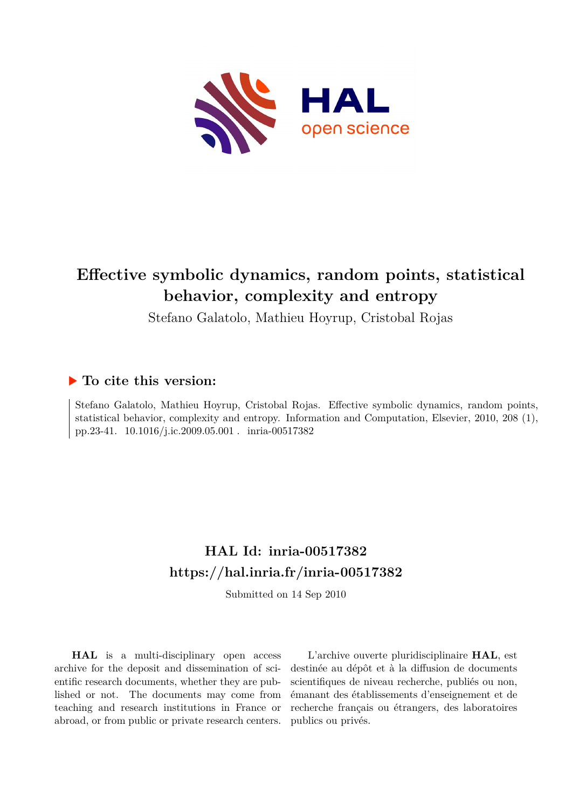

# **Effective symbolic dynamics, random points, statistical behavior, complexity and entropy**

Stefano Galatolo, Mathieu Hoyrup, Cristobal Rojas

## **To cite this version:**

Stefano Galatolo, Mathieu Hoyrup, Cristobal Rojas. Effective symbolic dynamics, random points, statistical behavior, complexity and entropy. Information and Computation, Elsevier, 2010, 208 (1), pp.23-41.  $10.1016/j.ic.2009.05.001$ . inria-00517382

## **HAL Id: inria-00517382 <https://hal.inria.fr/inria-00517382>**

Submitted on 14 Sep 2010

**HAL** is a multi-disciplinary open access archive for the deposit and dissemination of scientific research documents, whether they are published or not. The documents may come from teaching and research institutions in France or abroad, or from public or private research centers.

L'archive ouverte pluridisciplinaire **HAL**, est destinée au dépôt et à la diffusion de documents scientifiques de niveau recherche, publiés ou non, émanant des établissements d'enseignement et de recherche français ou étrangers, des laboratoires publics ou privés.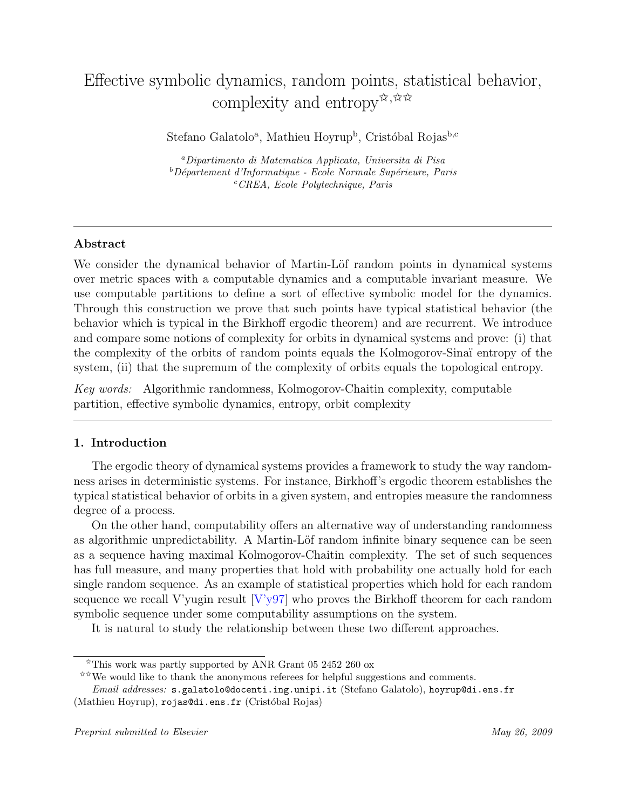## Effective symbolic dynamics, random points, statistical behavior, complexity and entropy  $\mathbb{X}, \mathbb{X} \times \mathbb{X}$

Stefano Galatolo<sup>a</sup>, Mathieu Hoyrup<sup>b</sup>, Cristóbal Rojas<sup>b,c</sup>

<sup>a</sup>Dipartimento di Matematica Applicata, Universita di Pisa  $b^b$ Département d'Informatique - Ecole Normale Supérieure, Paris  $c$ <sup>c</sup>CREA, Ecole Polytechnique, Paris

### Abstract

We consider the dynamical behavior of Martin-Löf random points in dynamical systems over metric spaces with a computable dynamics and a computable invariant measure. We use computable partitions to define a sort of effective symbolic model for the dynamics. Through this construction we prove that such points have typical statistical behavior (the behavior which is typical in the Birkhoff ergodic theorem) and are recurrent. We introduce and compare some notions of complexity for orbits in dynamical systems and prove: (i) that the complexity of the orbits of random points equals the Kolmogorov-Sina¨ı entropy of the system, (ii) that the supremum of the complexity of orbits equals the topological entropy.

Key words: Algorithmic randomness, Kolmogorov-Chaitin complexity, computable partition, effective symbolic dynamics, entropy, orbit complexity

### 1. Introduction

The ergodic theory of dynamical systems provides a framework to study the way randomness arises in deterministic systems. For instance, Birkhoff's ergodic theorem establishes the typical statistical behavior of orbits in a given system, and entropies measure the randomness degree of a process.

On the other hand, computability offers an alternative way of understanding randomness as algorithmic unpredictability. A Martin-Löf random infinite binary sequence can be seen as a sequence having maximal Kolmogorov-Chaitin complexity. The set of such sequences has full measure, and many properties that hold with probability one actually hold for each single random sequence. As an example of statistical properties which hold for each random sequence we recall V'yugin result [\[V'y97\]](#page-30-0) who proves the Birkhoff theorem for each random symbolic sequence under some computability assumptions on the system.

It is natural to study the relationship between these two different approaches.

 $\overline{\alpha}$ This work was partly supported by ANR Grant 05 2452 260 ox

<sup>✩✩</sup>We would like to thank the anonymous referees for helpful suggestions and comments.

Email addresses: s.galatolo@docenti.ing.unipi.it (Stefano Galatolo), hoyrup@di.ens.fr (Mathieu Hoyrup), rojas@di.ens.fr (Cristóbal Rojas)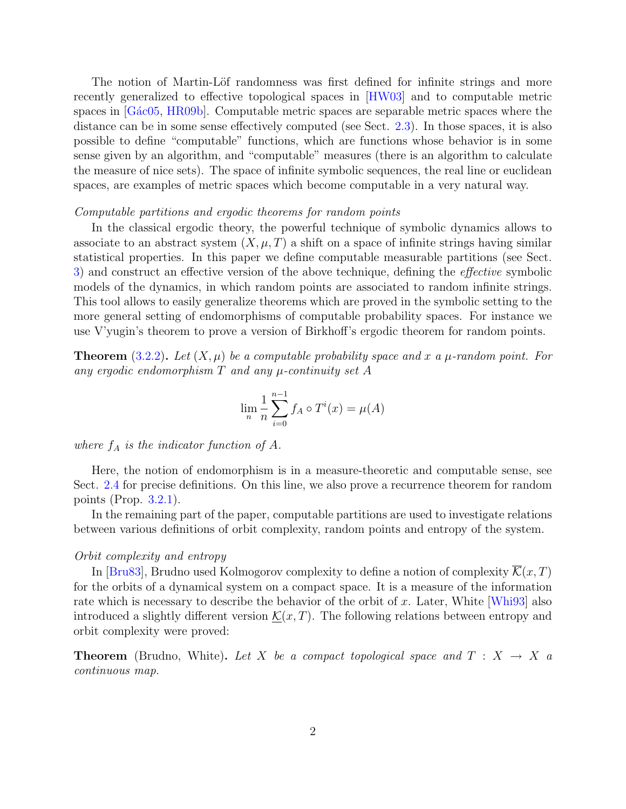The notion of Martin-Löf randomness was first defined for infinite strings and more recently generalized to effective topological spaces in [\[HW03\]](#page-29-0) and to computable metric spaces in [G $\acute{a}$ c05, [HR09b\]](#page-29-2). Computable metric spaces are separable metric spaces where the distance can be in some sense effectively computed (see Sect. [2.3\)](#page-5-0). In those spaces, it is also possible to define "computable" functions, which are functions whose behavior is in some sense given by an algorithm, and "computable" measures (there is an algorithm to calculate the measure of nice sets). The space of infinite symbolic sequences, the real line or euclidean spaces, are examples of metric spaces which become computable in a very natural way.

#### Computable partitions and ergodic theorems for random points

In the classical ergodic theory, the powerful technique of symbolic dynamics allows to associate to an abstract system  $(X, \mu, T)$  a shift on a space of infinite strings having similar statistical properties. In this paper we define computable measurable partitions (see Sect. [3\)](#page-11-0) and construct an effective version of the above technique, defining the effective symbolic models of the dynamics, in which random points are associated to random infinite strings. This tool allows to easily generalize theorems which are proved in the symbolic setting to the more general setting of endomorphisms of computable probability spaces. For instance we use V'yugin's theorem to prove a version of Birkhoff's ergodic theorem for random points.

**Theorem** [\(3.2.2\)](#page-15-0). Let  $(X, \mu)$  be a computable probability space and x a  $\mu$ -random point. For any ergodic endomorphism  $T$  and any  $\mu$ -continuity set  $A$ 

$$
\lim_{n} \frac{1}{n} \sum_{i=0}^{n-1} f_A \circ T^i(x) = \mu(A)
$$

where  $f_A$  is the indicator function of A.

Here, the notion of endomorphism is in a measure-theoretic and computable sense, see Sect. [2.4](#page-7-0) for precise definitions. On this line, we also prove a recurrence theorem for random points (Prop. [3.2.1\)](#page-14-0).

In the remaining part of the paper, computable partitions are used to investigate relations between various definitions of orbit complexity, random points and entropy of the system.

#### Orbit complexity and entropy

In [\[Bru83\]](#page-29-3), Brudno used Kolmogorov complexity to define a notion of complexity  $\overline{\mathcal{K}}(x,T)$ for the orbits of a dynamical system on a compact space. It is a measure of the information rate which is necessary to describe the behavior of the orbit of x. Later, White  $[Wh\ni 93]$  also introduced a slightly different version  $\mathcal{K}(x,T)$ . The following relations between entropy and orbit complexity were proved:

**Theorem** (Brudno, White). Let X be a compact topological space and  $T : X \rightarrow X$  a continuous map.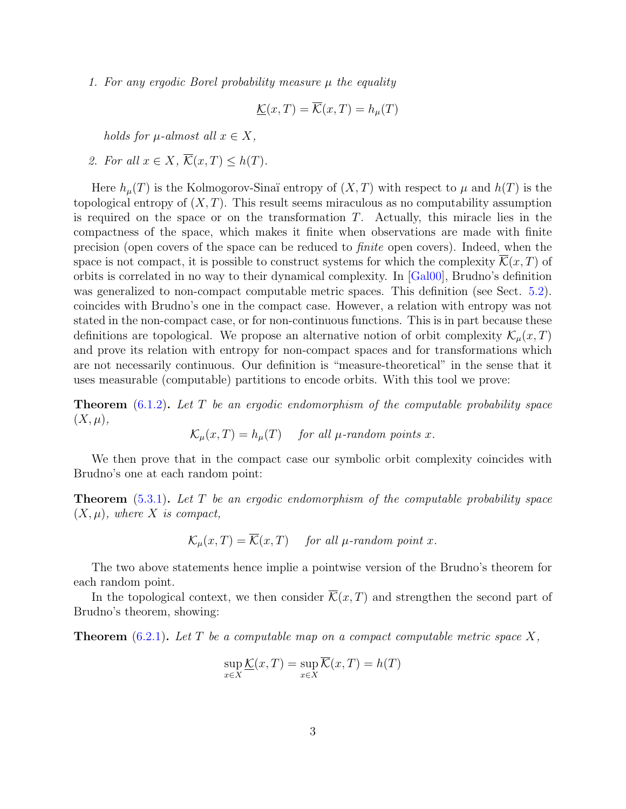1. For any ergodic Borel probability measure  $\mu$  the equality

$$
\underline{\mathcal{K}}(x,T) = \overline{\mathcal{K}}(x,T) = h_{\mu}(T)
$$

holds for  $\mu$ -almost all  $x \in X$ ,

2. For all  $x \in X$ ,  $\overline{\mathcal{K}}(x,T) \leq h(T)$ .

Here  $h_u(T)$  is the Kolmogorov-Sinaï entropy of  $(X, T)$  with respect to  $\mu$  and  $h(T)$  is the topological entropy of  $(X, T)$ . This result seems miraculous as no computability assumption is required on the space or on the transformation  $T$ . Actually, this miracle lies in the compactness of the space, which makes it finite when observations are made with finite precision (open covers of the space can be reduced to finite open covers). Indeed, when the space is not compact, it is possible to construct systems for which the complexity  $\mathcal{K}(x,T)$  of orbits is correlated in no way to their dynamical complexity. In [\[Gal00\]](#page-29-4), Brudno's definition was generalized to non-compact computable metric spaces. This definition (see Sect. [5.2\)](#page-19-0). coincides with Brudno's one in the compact case. However, a relation with entropy was not stated in the non-compact case, or for non-continuous functions. This is in part because these definitions are topological. We propose an alternative notion of orbit complexity  $\mathcal{K}_u(x,T)$ and prove its relation with entropy for non-compact spaces and for transformations which are not necessarily continuous. Our definition is "measure-theoretical" in the sense that it uses measurable (computable) partitions to encode orbits. With this tool we prove:

**Theorem**  $(6.1.2)$ . Let T be an ergodic endomorphism of the computable probability space  $(X, \mu),$ 

 $\mathcal{K}_u(x,T) = h_u(T)$  for all  $\mu$ -random points x.

We then prove that in the compact case our symbolic orbit complexity coincides with Brudno's one at each random point:

**Theorem**  $(5.3.1)$ . Let T be an ergodic endomorphism of the computable probability space  $(X, \mu)$ , where X is compact,

 $\mathcal{K}_u(x,T) = \overline{\mathcal{K}}(x,T)$  for all  $\mu$ -random point x.

The two above statements hence implie a pointwise version of the Brudno's theorem for each random point.

In the topological context, we then consider  $\overline{\mathcal{K}}(x,T)$  and strengthen the second part of Brudno's theorem, showing:

**Theorem** [\(6.2.1\)](#page-25-1). Let T be a computable map on a compact computable metric space X,

$$
\sup_{x \in X} \underline{\mathcal{K}}(x,T) = \sup_{x \in X} \overline{\mathcal{K}}(x,T) = h(T)
$$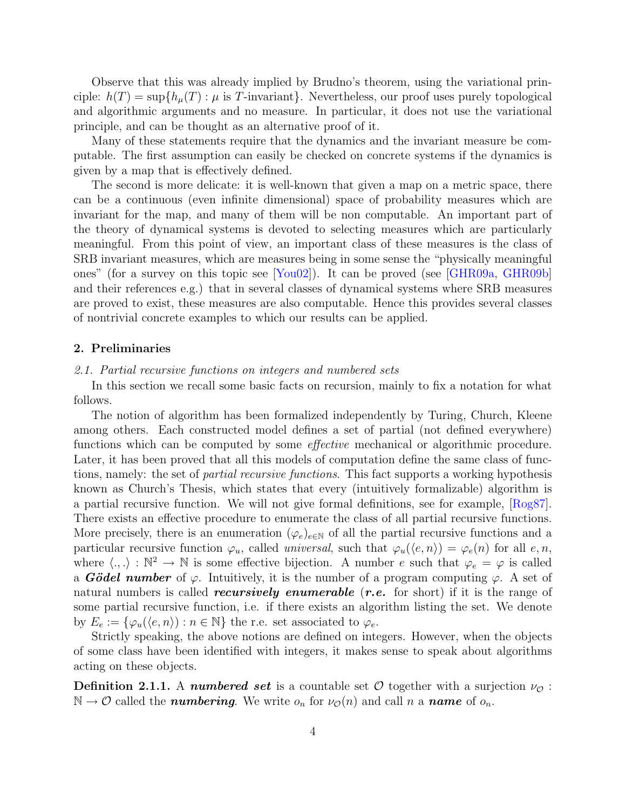Observe that this was already implied by Brudno's theorem, using the variational principle:  $h(T) = \sup\{h_\mu(T) : \mu \text{ is } T\text{-invariant}\}\.$  Nevertheless, our proof uses purely topological and algorithmic arguments and no measure. In particular, it does not use the variational principle, and can be thought as an alternative proof of it.

Many of these statements require that the dynamics and the invariant measure be computable. The first assumption can easily be checked on concrete systems if the dynamics is given by a map that is effectively defined.

The second is more delicate: it is well-known that given a map on a metric space, there can be a continuous (even infinite dimensional) space of probability measures which are invariant for the map, and many of them will be non computable. An important part of the theory of dynamical systems is devoted to selecting measures which are particularly meaningful. From this point of view, an important class of these measures is the class of SRB invariant measures, which are measures being in some sense the "physically meaningful ones" (for a survey on this topic see [\[You02\]](#page-30-2)). It can be proved (see [\[GHR09a,](#page-29-5) [GHR09b\]](#page-29-6) and their references e.g.) that in several classes of dynamical systems where SRB measures are proved to exist, these measures are also computable. Hence this provides several classes of nontrivial concrete examples to which our results can be applied.

#### 2. Preliminaries

#### 2.1. Partial recursive functions on integers and numbered sets

In this section we recall some basic facts on recursion, mainly to fix a notation for what follows.

The notion of algorithm has been formalized independently by Turing, Church, Kleene among others. Each constructed model defines a set of partial (not defined everywhere) functions which can be computed by some effective mechanical or algorithmic procedure. Later, it has been proved that all this models of computation define the same class of functions, namely: the set of partial recursive functions. This fact supports a working hypothesis known as Church's Thesis, which states that every (intuitively formalizable) algorithm is a partial recursive function. We will not give formal definitions, see for example, [\[Rog87\]](#page-30-3). There exists an effective procedure to enumerate the class of all partial recursive functions. More precisely, there is an enumeration  $(\varphi_e)_{e \in \mathbb{N}}$  of all the partial recursive functions and a particular recursive function  $\varphi_u$ , called *universal*, such that  $\varphi_u(\langle e, n \rangle) = \varphi_e(n)$  for all  $e, n$ , where  $\langle .,.\rangle : \mathbb{N}^2 \to \mathbb{N}$  is some effective bijection. A number e such that  $\varphi_e = \varphi$  is called a **Gödel number** of  $\varphi$ . Intuitively, it is the number of a program computing  $\varphi$ . A set of natural numbers is called *recursively enumerable* (*r.e.* for short) if it is the range of some partial recursive function, i.e. if there exists an algorithm listing the set. We denote by  $E_e := \{ \varphi_u(\langle e, n \rangle) : n \in \mathbb{N} \}$  the r.e. set associated to  $\varphi_e$ .

Strictly speaking, the above notions are defined on integers. However, when the objects of some class have been identified with integers, it makes sense to speak about algorithms acting on these objects.

**Definition 2.1.1.** A **numbered set** is a countable set  $\mathcal{O}$  together with a surjection  $\nu_{\mathcal{O}}$ :  $\mathbb{N} \to \mathcal{O}$  called the **numbering**. We write  $o_n$  for  $\nu_{\mathcal{O}}(n)$  and call n a **name** of  $o_n$ .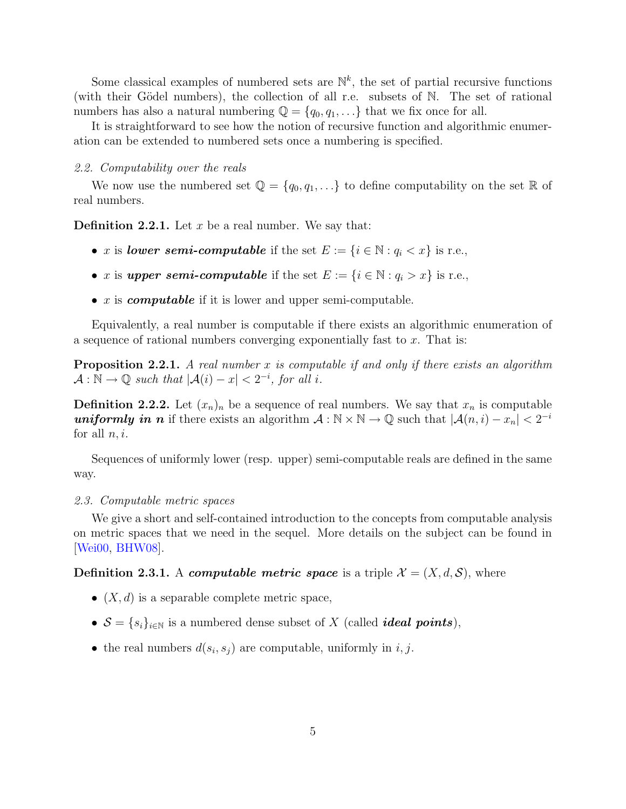Some classical examples of numbered sets are  $\mathbb{N}^k$ , the set of partial recursive functions (with their Gödel numbers), the collection of all r.e. subsets of N. The set of rational numbers has also a natural numbering  $\mathbb{Q} = \{q_0, q_1, \ldots\}$  that we fix once for all.

It is straightforward to see how the notion of recursive function and algorithmic enumeration can be extended to numbered sets once a numbering is specified.

#### 2.2. Computability over the reals

We now use the numbered set  $\mathbb{Q} = \{q_0, q_1, \ldots\}$  to define computability on the set  $\mathbb{R}$  of real numbers.

**Definition 2.2.1.** Let x be a real number. We say that:

- x is lower semi-computable if the set  $E := \{i \in \mathbb{N} : q_i < x\}$  is r.e.,
- x is upper semi-computable if the set  $E := \{i \in \mathbb{N} : q_i > x\}$  is r.e.,
- $x$  is *computable* if it is lower and upper semi-computable.

Equivalently, a real number is computable if there exists an algorithmic enumeration of a sequence of rational numbers converging exponentially fast to  $x$ . That is:

**Proposition 2.2.1.** A real number x is computable if and only if there exists an algorithm  $\mathcal{A}: \mathbb{N} \to \mathbb{Q}$  such that  $|\mathcal{A}(i) - x| < 2^{-i}$ , for all i.

**Definition 2.2.2.** Let  $(x_n)_n$  be a sequence of real numbers. We say that  $x_n$  is computable **uniformly in n** if there exists an algorithm  $A : \mathbb{N} \times \mathbb{N} \to \mathbb{Q}$  such that  $|A(n, i) - x_n| < 2^{-i}$ for all  $n, i$ .

Sequences of uniformly lower (resp. upper) semi-computable reals are defined in the same way.

#### <span id="page-5-0"></span>2.3. Computable metric spaces

We give a short and self-contained introduction to the concepts from computable analysis on metric spaces that we need in the sequel. More details on the subject can be found in [\[Wei00,](#page-30-4) [BHW08\]](#page-28-0).

**Definition 2.3.1.** A *computable metric space* is a triple  $\mathcal{X} = (X, d, \mathcal{S})$ , where

- $(X, d)$  is a separable complete metric space,
- $S = \{s_i\}_{i \in \mathbb{N}}$  is a numbered dense subset of X (called *ideal points*),
- the real numbers  $d(s_i, s_j)$  are computable, uniformly in i, j.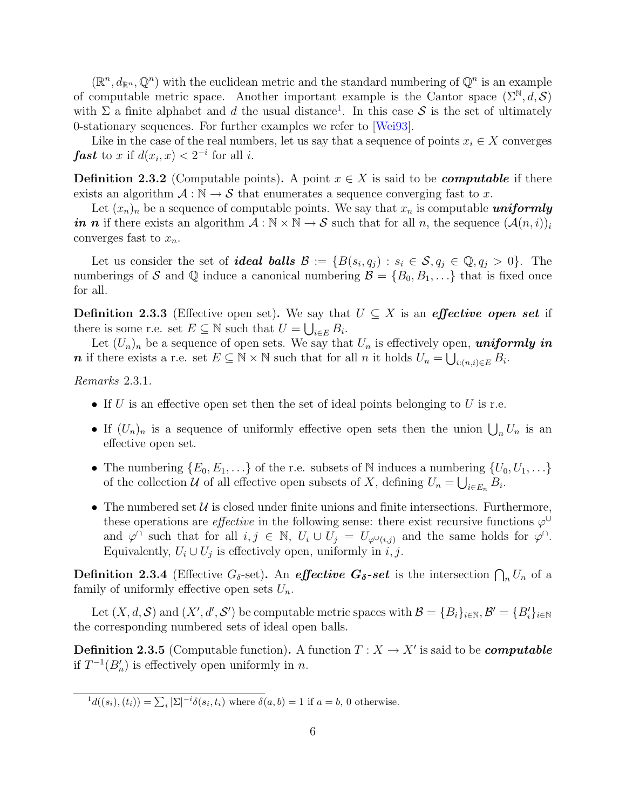$(\mathbb{R}^n, d_{\mathbb{R}^n}, \mathbb{Q}^n)$  with the euclidean metric and the standard numbering of  $\mathbb{Q}^n$  is an example of computable metric space. Another important example is the Cantor space  $(\Sigma^{\mathbb{N}}, d, \mathcal{S})$ with  $\Sigma$  a finite alphabet and d the usual distance<sup>[1](#page-6-0)</sup>. In this case S is the set of ultimately 0-stationary sequences. For further examples we refer to [\[Wei93\]](#page-30-5).

Like in the case of the real numbers, let us say that a sequence of points  $x_i \in X$  converges **fast** to x if  $d(x_i, x) < 2^{-i}$  for all *i*.

<span id="page-6-1"></span>**Definition 2.3.2** (Computable points). A point  $x \in X$  is said to be *computable* if there exists an algorithm  $\mathcal{A}: \mathbb{N} \to \mathcal{S}$  that enumerates a sequence converging fast to x.

Let  $(x_n)_n$  be a sequence of computable points. We say that  $x_n$  is computable **uniformly** in n if there exists an algorithm  $\mathcal{A}: \mathbb{N} \times \mathbb{N} \to \mathcal{S}$  such that for all n, the sequence  $(\mathcal{A}(n, i))_i$ converges fast to  $x_n$ .

Let us consider the set of **ideal balls**  $\mathcal{B} := \{B(s_i, q_j) : s_i \in \mathcal{S}, q_j \in \mathbb{Q}, q_j > 0\}$ . The numberings of S and Q induce a canonical numbering  $\mathcal{B} = \{B_0, B_1, ...\}$  that is fixed once for all.

**Definition 2.3.3** (Effective open set). We say that  $U \subseteq X$  is an *effective open set* if there is some r.e. set  $E \subseteq \mathbb{N}$  such that  $U = \bigcup_{i \in E} B_i$ .

Let  $(U_n)_n$  be a sequence of open sets. We say that  $U_n$  is effectively open, **uniformly in n** if there exists a r.e. set  $E \subseteq \mathbb{N} \times \mathbb{N}$  such that for all n it holds  $U_n = \bigcup_{i:(n,i)\in E} B_i$ .

Remarks 2.3.1.

- If U is an effective open set then the set of ideal points belonging to U is r.e.
- If  $(U_n)_n$  is a sequence of uniformly effective open sets then the union  $\bigcup_n U_n$  is an effective open set.
- The numbering  $\{E_0, E_1, \ldots\}$  of the r.e. subsets of N induces a numbering  $\{U_0, U_1, \ldots\}$ of the collection  $U$  of all effective open subsets of X, defining  $U_n = \bigcup_{i \in E_n} B_i$ .
- The numbered set  $U$  is closed under finite unions and finite intersections. Furthermore, these operations are *effective* in the following sense: there exist recursive functions  $\varphi^{\cup}$ and  $\varphi^{\cap}$  such that for all  $i, j \in \mathbb{N}$ ,  $U_i \cup U_j = U_{\varphi^{\cup}(i,j)}$  and the same holds for  $\varphi^{\cap}$ . Equivalently,  $U_i \cup U_j$  is effectively open, uniformly in *i*, *j*.

**Definition 2.3.4** (Effective  $G_{\delta}$ -set). An *effective G*<sub> $\delta$ </sub>-set is the intersection  $\bigcap_n U_n$  of a family of uniformly effective open sets  $U_n$ .

Let  $(X, d, S)$  and  $(X', d', S')$  be computable metric spaces with  $\mathcal{B} = \{B_i\}_{i \in \mathbb{N}}, \mathcal{B}' = \{B'_i\}_{i \in \mathbb{N}}$ the corresponding numbered sets of ideal open balls.

**Definition 2.3.5** (Computable function). A function  $T : X \to X'$  is said to be *computable* if  $T^{-1}(B_n')$  is effectively open uniformly in *n*.

<span id="page-6-0"></span> $d(d((s_i), (t_i)) = \sum_i |\Sigma|^{-i} \delta(s_i, t_i)$  where  $\delta(a, b) = 1$  if  $a = b$ , 0 otherwise.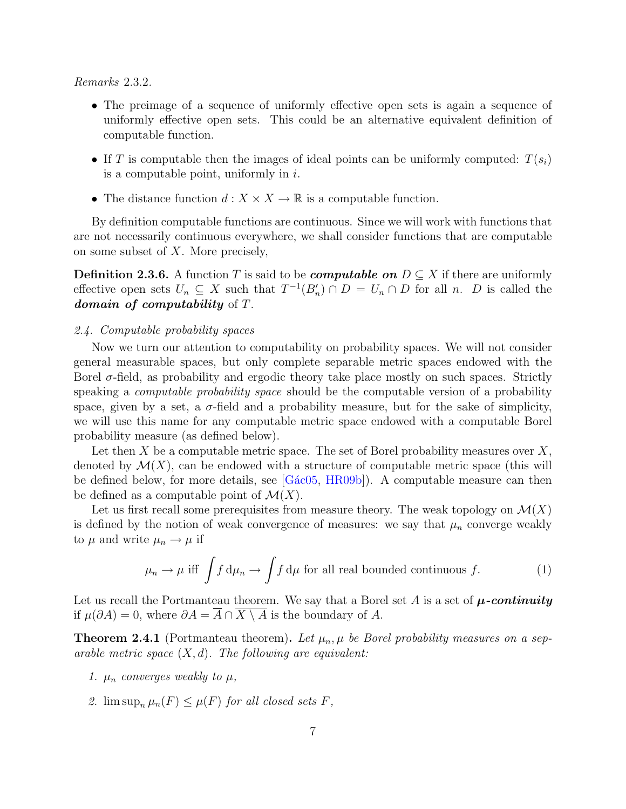Remarks 2.3.2.

- The preimage of a sequence of uniformly effective open sets is again a sequence of uniformly effective open sets. This could be an alternative equivalent definition of computable function.
- If T is computable then the images of ideal points can be uniformly computed:  $T(s_i)$ is a computable point, uniformly in  $i$ .
- The distance function  $d: X \times X \to \mathbb{R}$  is a computable function.

By definition computable functions are continuous. Since we will work with functions that are not necessarily continuous everywhere, we shall consider functions that are computable on some subset of X. More precisely,

**Definition 2.3.6.** A function T is said to be *computable on*  $D \subseteq X$  if there are uniformly effective open sets  $U_n \subseteq X$  such that  $T^{-1}(B'_n) \cap D = U_n \cap D$  for all n. D is called the domain of computability of T.

#### <span id="page-7-0"></span>2.4. Computable probability spaces

Now we turn our attention to computability on probability spaces. We will not consider general measurable spaces, but only complete separable metric spaces endowed with the Borel  $\sigma$ -field, as probability and ergodic theory take place mostly on such spaces. Strictly speaking a *computable probability space* should be the computable version of a probability space, given by a set, a  $\sigma$ -field and a probability measure, but for the sake of simplicity, we will use this name for any computable metric space endowed with a computable Borel probability measure (as defined below).

Let then X be a computable metric space. The set of Borel probability measures over  $X$ , denoted by  $\mathcal{M}(X)$ , can be endowed with a structure of computable metric space (this will be defined below, for more details, see  $[Gac05, HR09b]$  $[Gac05, HR09b]$ . A computable measure can then be defined as a computable point of  $\mathcal{M}(X)$ .

Let us first recall some prerequisites from measure theory. The weak topology on  $\mathcal{M}(X)$ is defined by the notion of weak convergence of measures: we say that  $\mu_n$  converge weakly to  $\mu$  and write  $\mu_n \to \mu$  if

$$
\mu_n \to \mu \text{ iff } \int f d\mu_n \to \int f d\mu \text{ for all real bounded continuous } f. \tag{1}
$$

Let us recall the Portmanteau theorem. We say that a Borel set A is a set of  $\mu$ -continuity if  $\mu(\partial A) = 0$ , where  $\partial A = \overline{A} \cap X \setminus A$  is the boundary of A.

**Theorem 2.4.1** (Portmanteau theorem). Let  $\mu_n$ ,  $\mu$  be Borel probability measures on a separable metric space  $(X, d)$ . The following are equivalent:

- 1.  $\mu_n$  converges weakly to  $\mu$ ,
- 2.  $\limsup_{n} \mu_n(F) \leq \mu(F)$  for all closed sets F,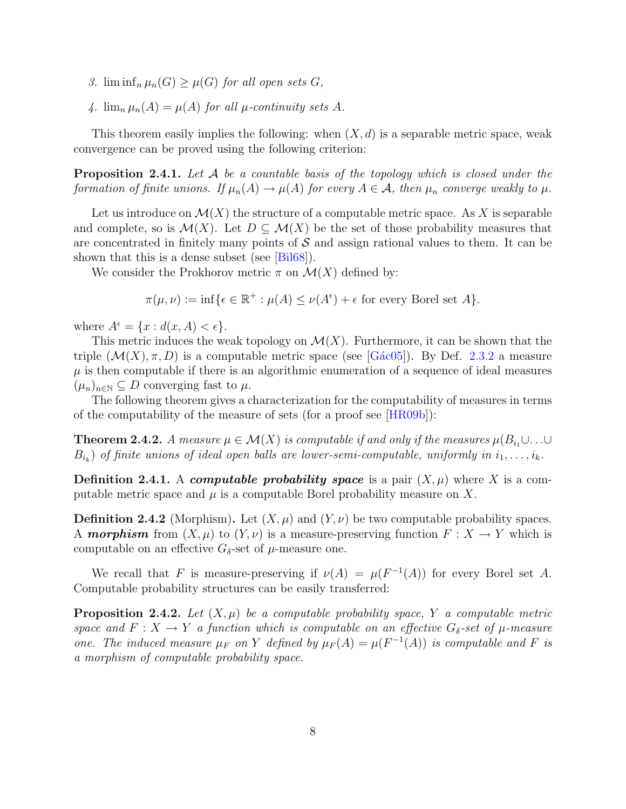- 3. lim inf<sub>n</sub>  $\mu_n(G) \geq \mu(G)$  for all open sets G,
- 4.  $\lim_{n} \mu_n(A) = \mu(A)$  for all  $\mu$ -continuity sets A.

This theorem easily implies the following: when  $(X, d)$  is a separable metric space, weak convergence can be proved using the following criterion:

<span id="page-8-3"></span>**Proposition 2.4.1.** Let A be a countable basis of the topology which is closed under the formation of finite unions. If  $\mu_n(A) \to \mu(A)$  for every  $A \in \mathcal{A}$ , then  $\mu_n$  converge weakly to  $\mu$ .

Let us introduce on  $\mathcal{M}(X)$  the structure of a computable metric space. As X is separable and complete, so is  $\mathcal{M}(X)$ . Let  $D \subseteq \mathcal{M}(X)$  be the set of those probability measures that are concentrated in finitely many points of  $S$  and assign rational values to them. It can be shown that this is a dense subset (see [\[Bil68\]](#page-28-1)).

We consider the Prokhorov metric  $\pi$  on  $\mathcal{M}(X)$  defined by:

$$
\pi(\mu,\nu) := \inf \{ \epsilon \in \mathbb{R}^+ : \mu(A) \le \nu(A^{\epsilon}) + \epsilon \text{ for every Borel set } A \}.
$$

where  $A^{\epsilon} = \{x : d(x, A) < \epsilon\}.$ 

This metric induces the weak topology on  $\mathcal{M}(X)$ . Furthermore, it can be shown that the triple  $(\mathcal{M}(X), \pi, D)$  is a computable metric space (see [Gác05]). By Def. [2.3.2](#page-6-1) a measure  $\mu$  is then computable if there is an algorithmic enumeration of a sequence of ideal measures  $(\mu_n)_{n\in\mathbb{N}}\subseteq D$  converging fast to  $\mu$ .

The following theorem gives a characterization for the computability of measures in terms of the computability of the measure of sets (for a proof see [\[HR09b\]](#page-29-2)):

<span id="page-8-2"></span>**Theorem 2.4.2.** A measure  $\mu \in \mathcal{M}(X)$  is computable if and only if the measures  $\mu(B_i, \cup \ldots \cup$  $B_{i_k}$ ) of finite unions of ideal open balls are lower-semi-computable, uniformly in  $i_1, \ldots, i_k$ .

**Definition 2.4.1.** A *computable probability space* is a pair  $(X, \mu)$  where X is a computable metric space and  $\mu$  is a computable Borel probability measure on X.

<span id="page-8-0"></span>**Definition 2.4.2** (Morphism). Let  $(X, \mu)$  and  $(Y, \nu)$  be two computable probability spaces. A **morphism** from  $(X, \mu)$  to  $(Y, \nu)$  is a measure-preserving function  $F: X \to Y$  which is computable on an effective  $G_{\delta}$ -set of  $\mu$ -measure one.

We recall that F is measure-preserving if  $\nu(A) = \mu(F^{-1}(A))$  for every Borel set A. Computable probability structures can be easily transferred:

<span id="page-8-1"></span>**Proposition 2.4.2.** Let  $(X, \mu)$  be a computable probability space, Y a computable metric space and  $F: X \to Y$  a function which is computable on an effective  $G_{\delta}$ -set of  $\mu$ -measure one. The induced measure  $\mu_F$  on Y defined by  $\mu_F(A) = \mu(F^{-1}(A))$  is computable and F is a morphism of computable probability space.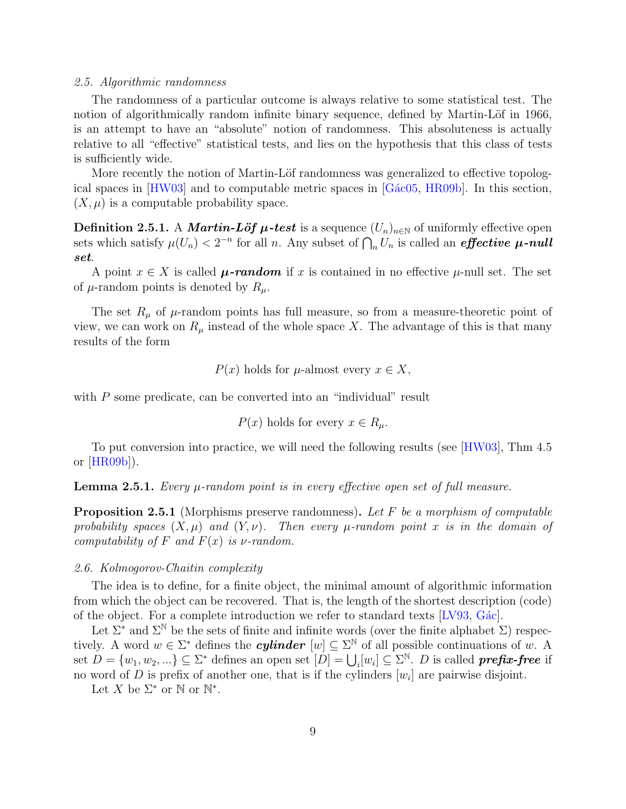#### 2.5. Algorithmic randomness

The randomness of a particular outcome is always relative to some statistical test. The notion of algorithmically random infinite binary sequence, defined by Martin-Löf in 1966, is an attempt to have an "absolute" notion of randomness. This absoluteness is actually relative to all "effective" statistical tests, and lies on the hypothesis that this class of tests is sufficiently wide.

More recently the notion of Martin-Löf randomness was generalized to effective topological spaces in  $[HW03]$  and to computable metric spaces in  $[G\acute{a}c05, HR09b]$  $[G\acute{a}c05, HR09b]$ . In this section,  $(X, \mu)$  is a computable probability space.

**Definition 2.5.1.** A *Martin-Löf*  $\mu$ -test is a sequence  $(U_n)_{n\in\mathbb{N}}$  of uniformly effective open sets which satisfy  $\mu(U_n) < 2^{-n}$  for all n. Any subset of  $\bigcap_n U_n$  is called an *effective*  $\mu$ -null set.

A point  $x \in X$  is called  $\mu$ -random if x is contained in no effective  $\mu$ -null set. The set of  $\mu$ -random points is denoted by  $R_{\mu}$ .

The set  $R_{\mu}$  of  $\mu$ -random points has full measure, so from a measure-theoretic point of view, we can work on  $R_{\mu}$  instead of the whole space X. The advantage of this is that many results of the form

$$
P(x)
$$
 holds for  $\mu$ -almost every  $x \in X$ ,

with P some predicate, can be converted into an "individual" result

$$
P(x)
$$
 holds for every  $x \in R_\mu$ .

To put conversion into practice, we will need the following results (see [\[HW03\]](#page-29-0), Thm 4.5 or [\[HR09b\]](#page-29-2)).

<span id="page-9-0"></span>**Lemma 2.5.1.** Every  $\mu$ -random point is in every effective open set of full measure.

<span id="page-9-1"></span>Proposition 2.5.1 (Morphisms preserve randomness). Let F be a morphism of computable probability spaces  $(X, \mu)$  and  $(Y, \nu)$ . Then every  $\mu$ -random point x is in the domain of computability of F and  $F(x)$  is  $\nu$ -random.

#### <span id="page-9-2"></span>2.6. Kolmogorov-Chaitin complexity

The idea is to define, for a finite object, the minimal amount of algorithmic information from which the object can be recovered. That is, the length of the shortest description (code) of the object. For a complete introduction we refer to standard texts [\[LV93,](#page-30-6) [G´ac\]](#page-29-7).

Let  $\Sigma^*$  and  $\Sigma^{\mathbb{N}}$  be the sets of finite and infinite words (over the finite alphabet  $\Sigma$ ) respectively. A word  $w \in \Sigma^*$  defines the *cylinder*  $[w] \subseteq \Sigma^{\mathbb{N}}$  of all possible continuations of w. A set  $D = \{w_1, w_2, ...\} \subseteq \Sigma^*$  defines an open set  $[D] = \bigcup_i [w_i] \subseteq \Sigma^{\mathbb{N}}$ . D is called **prefix-free** if no word of D is prefix of another one, that is if the cylinders  $[w_i]$  are pairwise disjoint.

Let X be  $\Sigma^*$  or N or  $\mathbb{N}^*$ .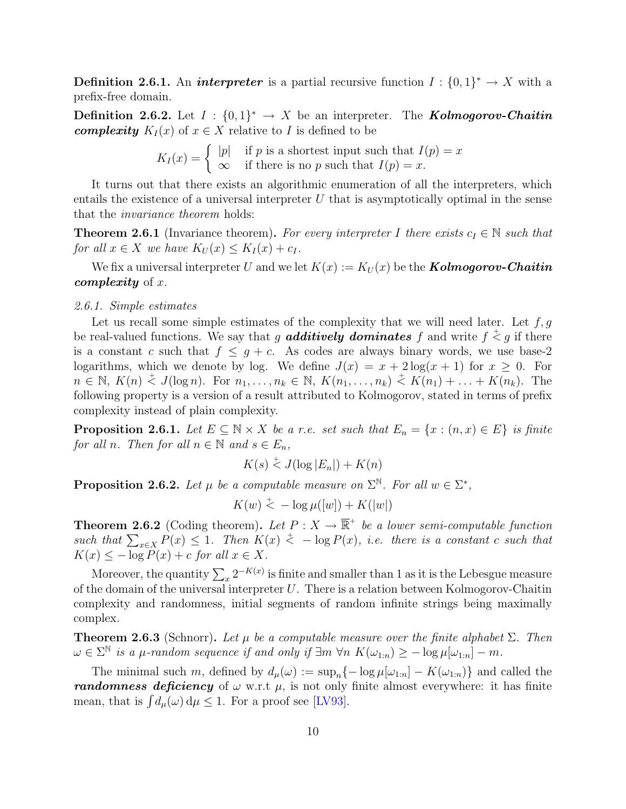**Definition 2.6.1.** An *interpreter* is a partial recursive function  $I: \{0,1\}^* \to X$  with a prefix-free domain.

**Definition 2.6.2.** Let  $I : \{0,1\}^* \to X$  be an interpreter. The **Kolmogorov-Chaitin complexity**  $K_I(x)$  of  $x \in X$  relative to I is defined to be

$$
K_I(x) = \begin{cases} |p| & \text{if } p \text{ is a shortest input such that } I(p) = x \\ \infty & \text{if there is no } p \text{ such that } I(p) = x. \end{cases}
$$

It turns out that there exists an algorithmic enumeration of all the interpreters, which entails the existence of a universal interpreter  $U$  that is asymptotically optimal in the sense that the invariance theorem holds:

**Theorem 2.6.1** (Invariance theorem). For every interpreter I there exists  $c_I \in \mathbb{N}$  such that for all  $x \in X$  we have  $K_U(x) \leq K_I(x) + c_I$ .

We fix a universal interpreter U and we let  $K(x) := K_U(x)$  be the **Kolmogorov-Chaitin** complexity of  $x$ .

#### <span id="page-10-2"></span>2.6.1. Simple estimates

Let us recall some simple estimates of the complexity that we will need later. Let  $f, g$ be real-valued functions. We say that g **additively dominates** f and write  $f \stackrel{+}{\le} g$  if there is a constant c such that  $f \leq g + c$ . As codes are always binary words, we use base-2 logarithms, which we denote by log. We define  $J(x) = x + 2 \log(x + 1)$  for  $x \ge 0$ . For  $n \in \mathbb{N}, K(n) \stackrel{+}{\leq} J(\log n)$ . For  $n_1, \ldots, n_k \in \mathbb{N}, K(n_1, \ldots, n_k) \stackrel{+}{\leq} K(n_1) + \ldots + K(n_k)$ . The following property is a version of a result attributed to Kolmogorov, stated in terms of prefix complexity instead of plain complexity.

<span id="page-10-3"></span>**Proposition 2.6.1.** Let  $E \subseteq N \times X$  be a r.e. set such that  $E_n = \{x : (n, x) \in E\}$  is finite for all n. Then for all  $n \in \mathbb{N}$  and  $s \in E_n$ ,

$$
K(s) \stackrel{+}{\leq} J(\log |E_n|) + K(n)
$$

<span id="page-10-1"></span>**Proposition 2.6.2.** Let  $\mu$  be a computable measure on  $\Sigma^{\mathbb{N}}$ . For all  $w \in \Sigma^*$ ,

$$
K(w) \stackrel{+}{\leq} -\log \mu([w]) + K(|w|)
$$

**Theorem 2.6.2** (Coding theorem). Let  $P: X \to \overline{\mathbb{R}}^+$  be a lower semi-computable function such that  $\sum_{x \in X} P(x) \leq 1$ . Then  $K(x) \leq -\log P(x)$ , i.e. there is a constant c such that  $K(x) \leq -\log P(x) + c$  for all  $x \in X$ .

Moreover, the quantity  $\sum_{x} 2^{-K(x)}$  is finite and smaller than 1 as it is the Lebesgue measure of the domain of the universal interpreter  $U$ . There is a relation between Kolmogorov-Chaitin complexity and randomness, initial segments of random infinite strings being maximally complex.

<span id="page-10-0"></span>**Theorem 2.6.3** (Schnorr). Let  $\mu$  be a computable measure over the finite alphabet  $\Sigma$ . Then  $\omega \in \Sigma^{\mathbb{N}}$  is a  $\mu$ -random sequence if and only if  $\exists m \forall n \; K(\omega_{1:n}) \geq -\log \mu[\omega_{1:n}] - m$ .

The minimal such m, defined by  $d_{\mu}(\omega) := \sup_{n} \{-\log \mu[\omega_{1:n}] - K(\omega_{1:n})\}$  and called the **randomness deficiency** of  $\omega$  w.r.t  $\mu$ , is not only finite almost everywhere: it has finite mean, that is  $\int d_{\mu}(\omega) d\mu \leq 1$ . For a proof see [\[LV93\]](#page-30-6).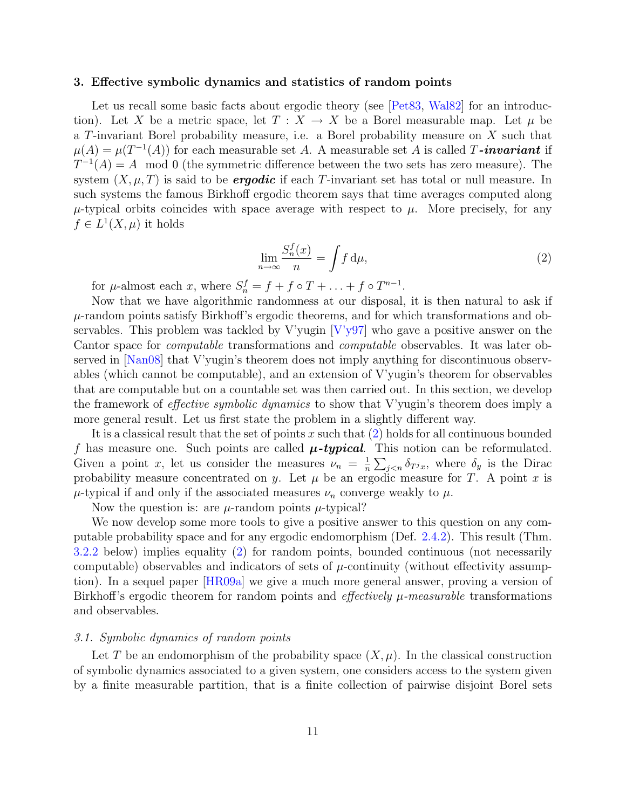#### <span id="page-11-0"></span>3. Effective symbolic dynamics and statistics of random points

Let us recall some basic facts about ergodic theory (see [\[Pet83,](#page-30-7) [Wal82\]](#page-30-8) for an introduction). Let X be a metric space, let  $T : X \to X$  be a Borel measurable map. Let  $\mu$  be a T-invariant Borel probability measure, i.e. a Borel probability measure on X such that  $\mu(A) = \mu(T^{-1}(A))$  for each measurable set A. A measurable set A is called T-invariant if  $T^{-1}(A) = A$  mod 0 (the symmetric difference between the two sets has zero measure). The system  $(X, \mu, T)$  is said to be **ergodic** if each T-invariant set has total or null measure. In such systems the famous Birkhoff ergodic theorem says that time averages computed along  $\mu$ -typical orbits coincides with space average with respect to  $\mu$ . More precisely, for any  $f \in L^1(X, \mu)$  it holds

$$
\lim_{n \to \infty} \frac{S_n^f(x)}{n} = \int f \, \mathrm{d}\mu,\tag{2}
$$

<span id="page-11-1"></span>for  $\mu$ -almost each  $x$ , where  $S_n^f = f + f \circ T + \ldots + f \circ T^{n-1}$ .

Now that we have algorithmic randomness at our disposal, it is then natural to ask if  $\mu$ -random points satisfy Birkhoff's ergodic theorems, and for which transformations and observables. This problem was tackled by V'yugin [\[V'y97\]](#page-30-0) who gave a positive answer on the Cantor space for computable transformations and computable observables. It was later observed in [\[Nan08\]](#page-30-9) that V'yugin's theorem does not imply anything for discontinuous observables (which cannot be computable), and an extension of V'yugin's theorem for observables that are computable but on a countable set was then carried out. In this section, we develop the framework of *effective symbolic dynamics* to show that V'yugin's theorem does imply a more general result. Let us first state the problem in a slightly different way.

It is a classical result that the set of points x such that  $(2)$  holds for all continuous bounded f has measure one. Such points are called  $\mu$ -typical. This notion can be reformulated. Given a point x, let us consider the measures  $\nu_n = \frac{1}{n}$  $\frac{1}{n} \sum_{j < n} \delta_{T^j x}$ , where  $\delta_y$  is the Dirac probability measure concentrated on y. Let  $\mu$  be an ergodic measure for T. A point x is  $\mu$ -typical if and only if the associated measures  $\nu_n$  converge weakly to  $\mu$ .

Now the question is: are  $\mu$ -random points  $\mu$ -typical?

We now develop some more tools to give a positive answer to this question on any computable probability space and for any ergodic endomorphism (Def. [2.4.2\)](#page-8-0). This result (Thm. [3.2.2](#page-15-0) below) implies equality [\(2\)](#page-11-1) for random points, bounded continuous (not necessarily computable) observables and indicators of sets of  $\mu$ -continuity (without effectivity assumption). In a sequel paper [\[HR09a\]](#page-29-8) we give a much more general answer, proving a version of Birkhoff's ergodic theorem for random points and *effectively*  $\mu$ -measurable transformations and observables.

#### <span id="page-11-2"></span>3.1. Symbolic dynamics of random points

Let T be an endomorphism of the probability space  $(X, \mu)$ . In the classical construction of symbolic dynamics associated to a given system, one considers access to the system given by a finite measurable partition, that is a finite collection of pairwise disjoint Borel sets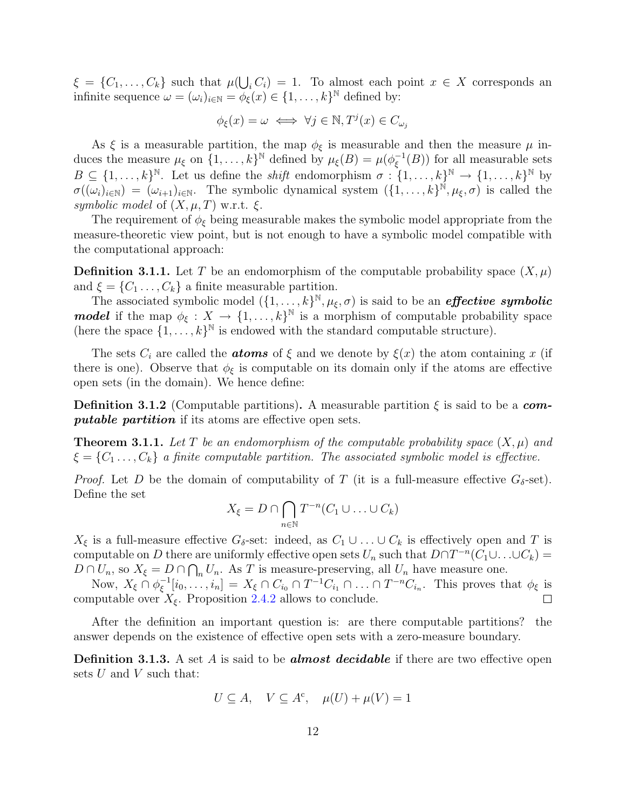$\xi = \{C_1, \ldots, C_k\}$  such that  $\mu(\bigcup_i C_i) = 1$ . To almost each point  $x \in X$  corresponds an infinite sequence  $\omega = (\omega_i)_{i \in \mathbb{N}} = \phi_{\xi}(x) \in \{1, \ldots, k\}^{\mathbb{N}}$  defined by:

$$
\phi_{\xi}(x) = \omega \iff \forall j \in \mathbb{N}, T^{j}(x) \in C_{\omega_{j}}
$$

As  $\xi$  is a measurable partition, the map  $\phi_{\xi}$  is measurable and then the measure  $\mu$  induces the measure  $\mu_{\xi}$  on  $\{1, \ldots, k\}^{\mathbb{N}}$  defined by  $\mu_{\xi}(B) = \mu(\phi_{\xi}^{-1})$  $_{\xi}^{-1}(B)$ ) for all measurable sets  $B \subseteq \{1,\ldots,k\}^{\mathbb{N}}$ . Let us define the *shift* endomorphism  $\sigma : \{1,\ldots,k\}^{\mathbb{N}} \to \{1,\ldots,k\}^{\mathbb{N}}$  by  $\sigma((\omega_i)_{i\in\mathbb{N}}) = (\omega_{i+1})_{i\in\mathbb{N}}$ . The symbolic dynamical system  $(\{1,\ldots,k\})^{\mathbb{N}},\mu_{\xi},\sigma)$  is called the symbolic model of  $(X, \mu, T)$  w.r.t.  $\xi$ .

The requirement of  $\phi_{\xi}$  being measurable makes the symbolic model appropriate from the measure-theoretic view point, but is not enough to have a symbolic model compatible with the computational approach:

**Definition 3.1.1.** Let T be an endomorphism of the computable probability space  $(X, \mu)$ and  $\xi = \{C_1 \ldots, C_k\}$  a finite measurable partition.

The associated symbolic model  $(\{1,\ldots,k\}^{\mathbb{N}},\mu_{\xi},\sigma)$  is said to be an *effective symbolic* **model** if the map  $\phi_{\xi}: X \to \{1, \ldots, k\}^{\mathbb{N}}$  is a morphism of computable probability space (here the space  $\{1, \ldots, k\}^{\mathbb{N}}$  is endowed with the standard computable structure).

The sets  $C_i$  are called the **atoms** of  $\xi$  and we denote by  $\xi(x)$  the atom containing x (if there is one). Observe that  $\phi_{\xi}$  is computable on its domain only if the atoms are effective open sets (in the domain). We hence define:

**Definition 3.1.2** (Computable partitions). A measurable partition  $\xi$  is said to be a com**putable partition** if its atoms are effective open sets.

<span id="page-12-1"></span>**Theorem 3.1.1.** Let T be an endomorphism of the computable probability space  $(X, \mu)$  and  $\xi = \{C_1 \ldots, C_k\}$  a finite computable partition. The associated symbolic model is effective.

*Proof.* Let D be the domain of computability of T (it is a full-measure effective  $G_{\delta}$ -set). Define the set

$$
X_{\xi} = D \cap \bigcap_{n \in \mathbb{N}} T^{-n}(C_1 \cup \ldots \cup C_k)
$$

 $X_{\xi}$  is a full-measure effective  $G_{\delta}$ -set: indeed, as  $C_1 \cup \ldots \cup C_k$  is effectively open and T is computable on D there are uniformly effective open sets  $U_n$  such that  $D \cap T^{-n}(C_1 \cup \ldots \cup C_k) =$  $D \cap U_n$ , so  $X_{\xi} = D \cap \bigcap_n U_n$ . As T is measure-preserving, all  $U_n$  have measure one.

Now,  $X_{\xi} \cap \phi_{\xi}^{-1}$  $[\xi^{-1}[i_0,\ldots,i_n] = X_\xi \cap C_{i_0} \cap T^{-1}C_{i_1} \cap \ldots \cap T^{-n}C_{i_n}$ . This proves that  $\phi_\xi$  is computable over  $X_{\xi}$ . Proposition [2.4.2](#page-8-1) allows to conclude.  $\Box$ 

After the definition an important question is: are there computable partitions? the answer depends on the existence of effective open sets with a zero-measure boundary.

<span id="page-12-0"></span>**Definition 3.1.3.** A set A is said to be **almost decidable** if there are two effective open sets  $U$  and  $V$  such that:

$$
U \subseteq A, \quad V \subseteq A^c, \quad \mu(U) + \mu(V) = 1
$$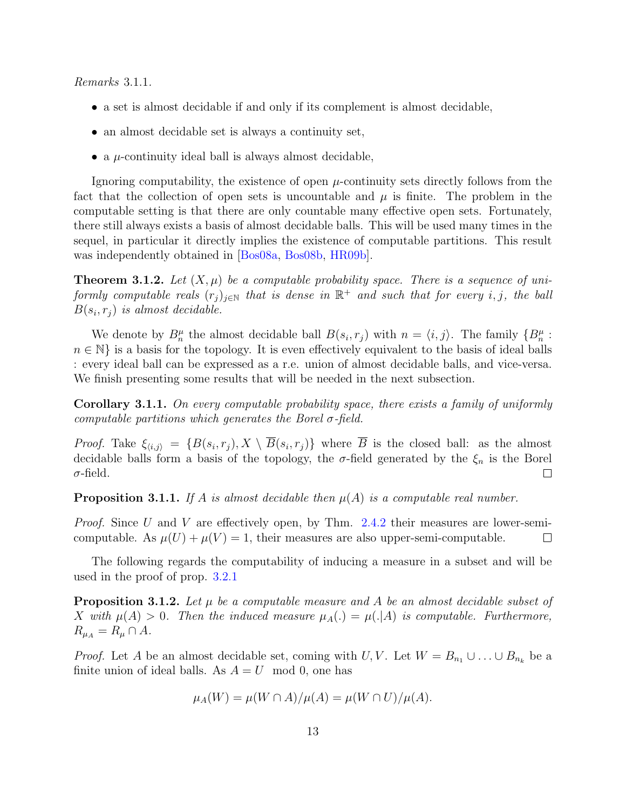Remarks 3.1.1.

- a set is almost decidable if and only if its complement is almost decidable,
- an almost decidable set is always a continuity set,
- a  $\mu$ -continuity ideal ball is always almost decidable,

Ignoring computability, the existence of open  $\mu$ -continuity sets directly follows from the fact that the collection of open sets is uncountable and  $\mu$  is finite. The problem in the computable setting is that there are only countable many effective open sets. Fortunately, there still always exists a basis of almost decidable balls. This will be used many times in the sequel, in particular it directly implies the existence of computable partitions. This result was independently obtained in [\[Bos08a,](#page-28-2) [Bos08b,](#page-28-3) [HR09b\]](#page-29-2).

**Theorem 3.1.2.** Let  $(X, \mu)$  be a computable probability space. There is a sequence of uniformly computable reals  $(r_j)_{j \in \mathbb{N}}$  that is dense in  $\mathbb{R}^+$  and such that for every i, j, the ball  $B(s_i, r_j)$  is almost decidable.

We denote by  $B_n^{\mu}$  the almost decidable ball  $B(s_i, r_j)$  with  $n = \langle i, j \rangle$ . The family  $\{B_n^{\mu} :$  $n \in \mathbb{N}$  is a basis for the topology. It is even effectively equivalent to the basis of ideal balls : every ideal ball can be expressed as a r.e. union of almost decidable balls, and vice-versa. We finish presenting some results that will be needed in the next subsection.

<span id="page-13-1"></span>Corollary 3.1.1. On every computable probability space, there exists a family of uniformly computable partitions which generates the Borel  $\sigma$ -field.

*Proof.* Take  $\xi_{\langle i,j \rangle} = \{B(s_i, r_j), X \setminus B(s_i, r_j)\}\$  where B is the closed ball: as the almost decidable balls form a basis of the topology, the  $\sigma$ -field generated by the  $\xi_n$  is the Borel  $\sigma$ -field.  $\Box$ 

**Proposition 3.1.1.** If A is almost decidable then  $\mu(A)$  is a computable real number.

*Proof.* Since U and V are effectively open, by Thm. [2.4.2](#page-8-2) their measures are lower-semicomputable. As  $\mu(U) + \mu(V) = 1$ , their measures are also upper-semi-computable.  $\Box$ 

The following regards the computability of inducing a measure in a subset and will be used in the proof of prop. [3.2.1](#page-14-0)

<span id="page-13-0"></span>**Proposition 3.1.2.** Let  $\mu$  be a computable measure and A be an almost decidable subset of X with  $\mu(A) > 0$ . Then the induced measure  $\mu_A(.) = \mu(.|A)$  is computable. Furthermore,  $R_{\mu_A} = R_\mu \cap A$ .

*Proof.* Let A be an almost decidable set, coming with U, V. Let  $W = B_{n_1} \cup ... \cup B_{n_k}$  be a finite union of ideal balls. As  $A = U$  mod 0, one has

$$
\mu_A(W) = \mu(W \cap A) / \mu(A) = \mu(W \cap U) / \mu(A).
$$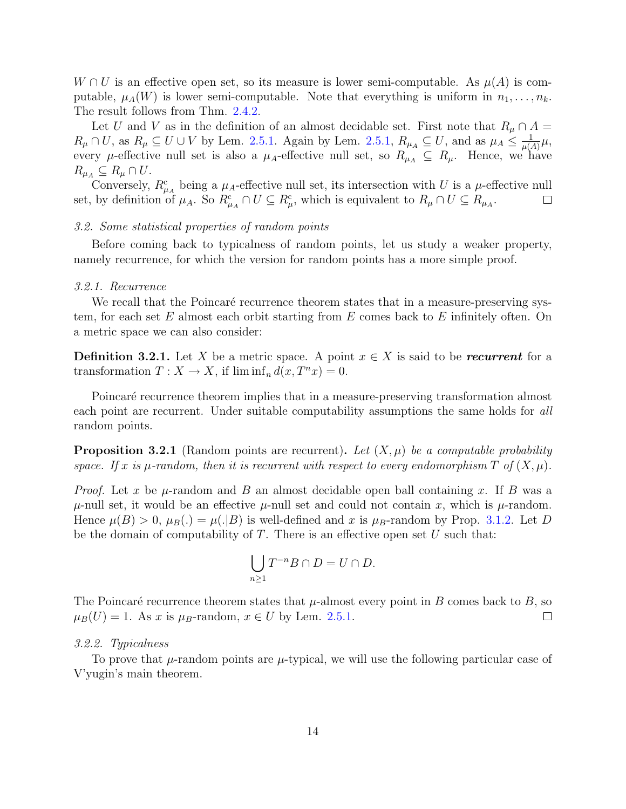$W \cap U$  is an effective open set, so its measure is lower semi-computable. As  $\mu(A)$  is computable,  $\mu_A(W)$  is lower semi-computable. Note that everything is uniform in  $n_1, \ldots, n_k$ . The result follows from Thm. [2.4.2.](#page-8-2)

Let U and V as in the definition of an almost decidable set. First note that  $R_\mu \cap A =$  $R_\mu \cap U$ , as  $R_\mu \subseteq U \cup V$  by Lem. [2.5.1.](#page-9-0) Again by Lem. [2.5.1,](#page-9-0)  $R_{\mu_A} \subseteq U$ , and as  $\mu_A \leq \frac{1}{\mu(A)}$  $\frac{1}{\mu(A)}\mu,$ every  $\mu$ -effective null set is also a  $\mu_A$ -effective null set, so  $R_{\mu_A} \subseteq R_{\mu}$ . Hence, we have  $R_{\mu_A} \subseteq R_\mu \cap U$ .

Conversely,  $R_{\mu_A}^c$  being a  $\mu_A$ -effective null set, its intersection with U is a  $\mu$ -effective null set, by definition of  $\mu_A$ . So  $R_{\mu_A}^c \cap U \subseteq R_{\mu}^c$ , which is equivalent to  $R_{\mu} \cap U \subseteq R_{\mu_A}$ .  $\Box$ 

#### 3.2. Some statistical properties of random points

Before coming back to typicalness of random points, let us study a weaker property, namely recurrence, for which the version for random points has a more simple proof.

#### 3.2.1. Recurrence

We recall that the Poincaré recurrence theorem states that in a measure-preserving system, for each set  $E$  almost each orbit starting from  $E$  comes back to  $E$  infinitely often. On a metric space we can also consider:

**Definition 3.2.1.** Let X be a metric space. A point  $x \in X$  is said to be recurrent for a transformation  $T : X \to X$ , if  $\liminf_n d(x, T^n x) = 0$ .

Poincaré recurrence theorem implies that in a measure-preserving transformation almost each point are recurrent. Under suitable computability assumptions the same holds for all random points.

<span id="page-14-0"></span>**Proposition 3.2.1** (Random points are recurrent). Let  $(X, \mu)$  be a computable probability space. If x is  $\mu$ -random, then it is recurrent with respect to every endomorphism T of  $(X, \mu)$ .

*Proof.* Let x be  $\mu$ -random and B an almost decidable open ball containing x. If B was a  $\mu$ -null set, it would be an effective  $\mu$ -null set and could not contain x, which is  $\mu$ -random. Hence  $\mu(B) > 0$ ,  $\mu_B(.) = \mu(.|B)$  is well-defined and x is  $\mu_B$ -random by Prop. [3.1.2.](#page-13-0) Let D be the domain of computability of  $T$ . There is an effective open set  $U$  such that:

$$
\bigcup_{n\geq 1}T^{-n}B\cap D=U\cap D.
$$

The Poincaré recurrence theorem states that  $\mu$ -almost every point in B comes back to B, so  $\mu_B(U) = 1$ . As x is  $\mu_B$ -random,  $x \in U$  by Lem. [2.5.1.](#page-9-0)  $\Box$ 

#### 3.2.2. Typicalness

<span id="page-14-1"></span>To prove that  $\mu$ -random points are  $\mu$ -typical, we will use the following particular case of V'yugin's main theorem.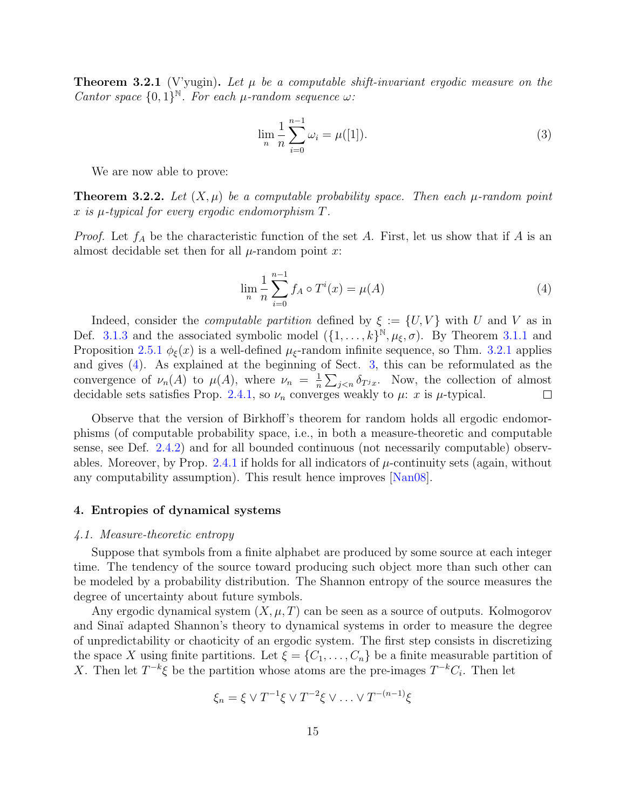**Theorem 3.2.1** (V'yugin). Let  $\mu$  be a computable shift-invariant ergodic measure on the Cantor space  $\{0,1\}^{\mathbb{N}}$ . For each  $\mu$ -random sequence  $\omega$ :

$$
\lim_{n} \frac{1}{n} \sum_{i=0}^{n-1} \omega_i = \mu([1]).
$$
\n(3)

We are now able to prove:

<span id="page-15-0"></span>**Theorem 3.2.2.** Let  $(X, \mu)$  be a computable probability space. Then each  $\mu$ -random point x is  $\mu$ -typical for every ergodic endomorphism  $T$ .

<span id="page-15-1"></span>*Proof.* Let  $f_A$  be the characteristic function of the set A. First, let us show that if A is an almost decidable set then for all  $\mu$ -random point x:

$$
\lim_{n} \frac{1}{n} \sum_{i=0}^{n-1} f_A \circ T^i(x) = \mu(A)
$$
 (4)

Indeed, consider the *computable partition* defined by  $\xi := \{U, V\}$  with U and V as in Def. [3.1.3](#page-12-0) and the associated symbolic model  $({1, \ldots, k})^{\mathbb{N}}, \mu_{\xi}, \sigma)$ . By Theorem [3.1.1](#page-12-1) and Proposition [2.5.1](#page-9-1)  $\phi_{\xi}(x)$  is a well-defined  $\mu_{\xi}$ -random infinite sequence, so Thm. [3.2.1](#page-14-1) applies and gives [\(4\)](#page-15-1). As explained at the beginning of Sect. [3,](#page-11-0) this can be reformulated as the convergence of  $\nu_n(A)$  to  $\mu(A)$ , where  $\nu_n = \frac{1}{n}$  $\frac{1}{n} \sum_{j < n} \delta_{T^j x}$ . Now, the collection of almost decidable sets satisfies Prop. [2.4.1,](#page-8-3) so  $\nu_n$  converges weakly to  $\mu$ : x is  $\mu$ -typical.  $\Box$ 

Observe that the version of Birkhoff's theorem for random holds all ergodic endomorphisms (of computable probability space, i.e., in both a measure-theoretic and computable sense, see Def. [2.4.2\)](#page-8-0) and for all bounded continuous (not necessarily computable) observ-ables. Moreover, by Prop. [2.4.1](#page-8-3) if holds for all indicators of  $\mu$ -continuity sets (again, without any computability assumption). This result hence improves [\[Nan08\]](#page-30-9).

#### 4. Entropies of dynamical systems

#### 4.1. Measure-theoretic entropy

Suppose that symbols from a finite alphabet are produced by some source at each integer time. The tendency of the source toward producing such object more than such other can be modeled by a probability distribution. The Shannon entropy of the source measures the degree of uncertainty about future symbols.

Any ergodic dynamical system  $(X, \mu, T)$  can be seen as a source of outputs. Kolmogorov and Sina¨ı adapted Shannon's theory to dynamical systems in order to measure the degree of unpredictability or chaoticity of an ergodic system. The first step consists in discretizing the space X using finite partitions. Let  $\xi = \{C_1, \ldots, C_n\}$  be a finite measurable partition of X. Then let  $T^{-k}\xi$  be the partition whose atoms are the pre-images  $T^{-k}C_i$ . Then let

$$
\xi_n = \xi \vee T^{-1} \xi \vee T^{-2} \xi \vee \ldots \vee T^{-(n-1)} \xi
$$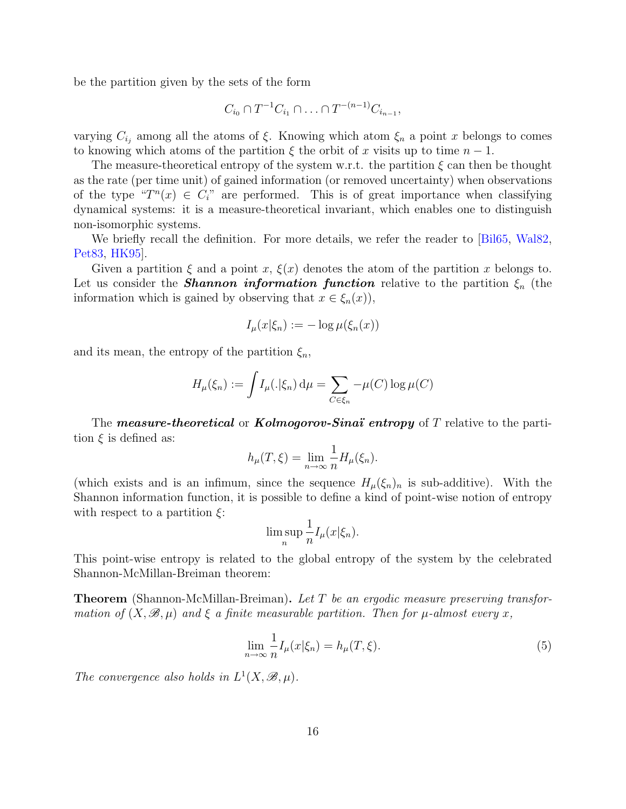be the partition given by the sets of the form

$$
C_{i_0} \cap T^{-1}C_{i_1} \cap \ldots \cap T^{-(n-1)}C_{i_{n-1}},
$$

varying  $C_{i_j}$  among all the atoms of  $\xi$ . Knowing which atom  $\xi_n$  a point x belongs to comes to knowing which atoms of the partition  $\xi$  the orbit of x visits up to time  $n-1$ .

The measure-theoretical entropy of the system w.r.t. the partition  $\xi$  can then be thought as the rate (per time unit) of gained information (or removed uncertainty) when observations of the type " $T^n(x) \in C_i$ " are performed. This is of great importance when classifying dynamical systems: it is a measure-theoretical invariant, which enables one to distinguish non-isomorphic systems.

We briefly recall the definition. For more details, we refer the reader to [\[Bil65,](#page-28-4) [Wal82,](#page-30-8) [Pet83,](#page-30-7) [HK95\]](#page-29-9).

Given a partition  $\xi$  and a point x,  $\xi(x)$  denotes the atom of the partition x belongs to. Let us consider the **Shannon information function** relative to the partition  $\xi_n$  (the information which is gained by observing that  $x \in \xi_n(x)$ ,

$$
I_{\mu}(x|\xi_n) := -\log \mu(\xi_n(x))
$$

and its mean, the entropy of the partition  $\xi_n$ ,

$$
H_{\mu}(\xi_n) := \int I_{\mu}(.|\xi_n) d\mu = \sum_{C \in \xi_n} -\mu(C) \log \mu(C)
$$

The **measure-theoretical** or **Kolmogorov-Sinaï** entropy of T relative to the partition  $\xi$  is defined as:

$$
h_{\mu}(T,\xi) = \lim_{n \to \infty} \frac{1}{n} H_{\mu}(\xi_n).
$$

(which exists and is an infimum, since the sequence  $H_{\mu}(\xi_n)_n$  is sub-additive). With the Shannon information function, it is possible to define a kind of point-wise notion of entropy with respect to a partition  $\xi$ :

<span id="page-16-0"></span>
$$
\limsup_{n} \frac{1}{n} I_{\mu}(x|\xi_n).
$$

This point-wise entropy is related to the global entropy of the system by the celebrated Shannon-McMillan-Breiman theorem:

**Theorem** (Shannon-McMillan-Breiman). Let T be an ergodic measure preserving transformation of  $(X, \mathcal{B}, \mu)$  and  $\xi$  a finite measurable partition. Then for  $\mu$ -almost every x,

$$
\lim_{n \to \infty} \frac{1}{n} I_{\mu}(x|\xi_n) = h_{\mu}(T,\xi).
$$
\n(5)

The convergence also holds in  $L^1(X, \mathcal{B}, \mu)$ .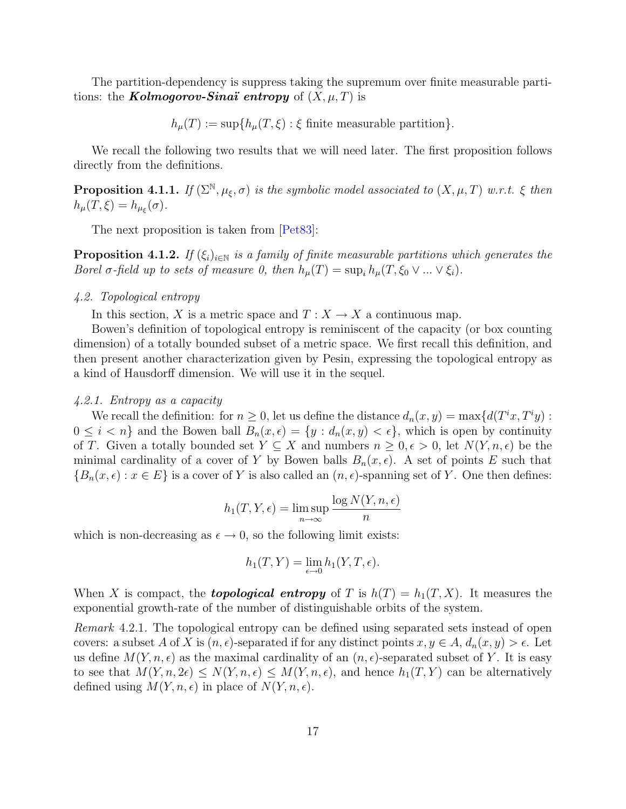The partition-dependency is suppress taking the supremum over finite measurable partitions: the **Kolmogorov-Sinaï** entropy of  $(X, \mu, T)$  is

 $h_{\mu}(T) := \sup\{h_{\mu}(T,\xi) : \xi \text{ finite measurable partition}\}.$ 

We recall the following two results that we will need later. The first proposition follows directly from the definitions.

**Proposition 4.1.1.** If  $(\Sigma^{\mathbb{N}}, \mu_{\xi}, \sigma)$  is the symbolic model associated to  $(X, \mu, T)$  w.r.t.  $\xi$  then  $h_\mu(T,\xi) = h_{\mu_\xi}(\sigma).$ 

The next proposition is taken from [\[Pet83\]](#page-30-7):

<span id="page-17-0"></span>**Proposition 4.1.2.** If  $(\xi_i)_{i\in\mathbb{N}}$  is a family of finite measurable partitions which generates the Borel  $\sigma$ -field up to sets of measure 0, then  $h_{\mu}(T) = \sup_i h_{\mu}(T, \xi_0 \vee ... \vee \xi_i)$ .

#### 4.2. Topological entropy

In this section, X is a metric space and  $T : X \to X$  a continuous map.

Bowen's definition of topological entropy is reminiscent of the capacity (or box counting dimension) of a totally bounded subset of a metric space. We first recall this definition, and then present another characterization given by Pesin, expressing the topological entropy as a kind of Hausdorff dimension. We will use it in the sequel.

#### 4.2.1. Entropy as a capacity

We recall the definition: for  $n \geq 0$ , let us define the distance  $d_n(x, y) = \max\{d(T^i x, T^i y)$ :  $0 \leq i \leq n$  and the Bowen ball  $B_n(x, \epsilon) = \{y : d_n(x, y) < \epsilon\}$ , which is open by continuity of T. Given a totally bounded set  $Y \subseteq X$  and numbers  $n \geq 0, \epsilon > 0$ , let  $N(Y, n, \epsilon)$  be the minimal cardinality of a cover of Y by Bowen balls  $B_n(x, \epsilon)$ . A set of points E such that  ${B_n(x, \epsilon) : x \in E}$  is a cover of Y is also called an  $(n, \epsilon)$ -spanning set of Y. One then defines:

$$
h_1(T, Y, \epsilon) = \limsup_{n \to \infty} \frac{\log N(Y, n, \epsilon)}{n}
$$

which is non-decreasing as  $\epsilon \to 0$ , so the following limit exists:

$$
h_1(T, Y) = \lim_{\epsilon \to 0} h_1(Y, T, \epsilon).
$$

When X is compact, the **topological entropy** of T is  $h(T) = h_1(T, X)$ . It measures the exponential growth-rate of the number of distinguishable orbits of the system.

Remark 4.2.1. The topological entropy can be defined using separated sets instead of open covers: a subset A of X is  $(n, \epsilon)$ -separated if for any distinct points  $x, y \in A$ ,  $d_n(x, y) > \epsilon$ . Let us define  $M(Y, n, \epsilon)$  as the maximal cardinality of an  $(n, \epsilon)$ -separated subset of Y. It is easy to see that  $M(Y, n, 2\epsilon) \leq N(Y, n, \epsilon) \leq M(Y, n, \epsilon)$ , and hence  $h_1(T, Y)$  can be alternatively defined using  $M(Y, n, \epsilon)$  in place of  $N(Y, n, \epsilon)$ .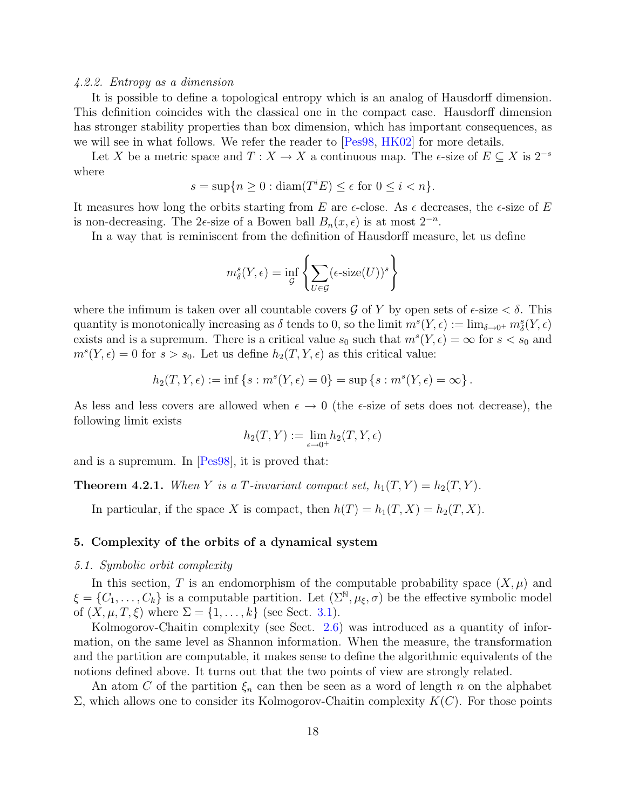#### 4.2.2. Entropy as a dimension

It is possible to define a topological entropy which is an analog of Hausdorff dimension. This definition coincides with the classical one in the compact case. Hausdorff dimension has stronger stability properties than box dimension, which has important consequences, as we will see in what follows. We refer the reader to [\[Pes98,](#page-30-10) [HK02\]](#page-29-10) for more details.

Let X be a metric space and  $T: X \to X$  a continuous map. The  $\epsilon$ -size of  $E \subseteq X$  is  $2^{-s}$ where

$$
s = \sup\{n \ge 0 : \operatorname{diam}(T^i E) \le \epsilon \text{ for } 0 \le i < n\}.
$$

It measures how long the orbits starting from E are  $\epsilon$ -close. As  $\epsilon$  decreases, the  $\epsilon$ -size of E is non-decreasing. The 2 $\epsilon$ -size of a Bowen ball  $B_n(x, \epsilon)$  is at most  $2^{-n}$ .

In a way that is reminiscent from the definition of Hausdorff measure, let us define

$$
m_{\delta}^{s}(Y,\epsilon) = \inf_{\mathcal{G}} \left\{ \sum_{U \in \mathcal{G}} (\epsilon \text{-size}(U))^{s} \right\}
$$

where the infimum is taken over all countable covers  $\mathcal G$  of Y by open sets of  $\epsilon$ -size  $\lt \delta$ . This quantity is monotonically increasing as  $\delta$  tends to 0, so the limit  $m^s(Y, \epsilon) := \lim_{\delta \to 0^+} m^s_{\delta}(Y, \epsilon)$ exists and is a supremum. There is a critical value  $s_0$  such that  $m<sup>s</sup>(Y, \epsilon) = \infty$  for  $s < s_0$  and  $m^{s}(Y, \epsilon) = 0$  for  $s > s_0$ . Let us define  $h_2(T, Y, \epsilon)$  as this critical value:

$$
h_2(T, Y, \epsilon) := \inf \{ s : m^s(Y, \epsilon) = 0 \} = \sup \{ s : m^s(Y, \epsilon) = \infty \}.
$$

As less and less covers are allowed when  $\epsilon \to 0$  (the  $\epsilon$ -size of sets does not decrease), the following limit exists

$$
h_2(T,Y):=\lim_{\epsilon\to 0^+}h_2(T,Y,\epsilon)
$$

<span id="page-18-0"></span>and is a supremum. In [\[Pes98\]](#page-30-10), it is proved that:

**Theorem 4.2.1.** When Y is a T-invariant compact set,  $h_1(T, Y) = h_2(T, Y)$ .

In particular, if the space X is compact, then  $h(T) = h_1(T, X) = h_2(T, X)$ .

#### 5. Complexity of the orbits of a dynamical system

#### 5.1. Symbolic orbit complexity

In this section, T is an endomorphism of the computable probability space  $(X, \mu)$  and  $\xi = \{C_1, \ldots, C_k\}$  is a computable partition. Let  $(\Sigma^{\mathbb{N}}, \mu_{\xi}, \sigma)$  be the effective symbolic model of  $(X, \mu, T, \xi)$  where  $\Sigma = \{1, ..., k\}$  (see Sect. [3.1\)](#page-11-2).

Kolmogorov-Chaitin complexity (see Sect. [2.6\)](#page-9-2) was introduced as a quantity of information, on the same level as Shannon information. When the measure, the transformation and the partition are computable, it makes sense to define the algorithmic equivalents of the notions defined above. It turns out that the two points of view are strongly related.

An atom C of the partition  $\xi_n$  can then be seen as a word of length n on the alphabet  $\Sigma$ , which allows one to consider its Kolmogorov-Chaitin complexity  $K(C)$ . For those points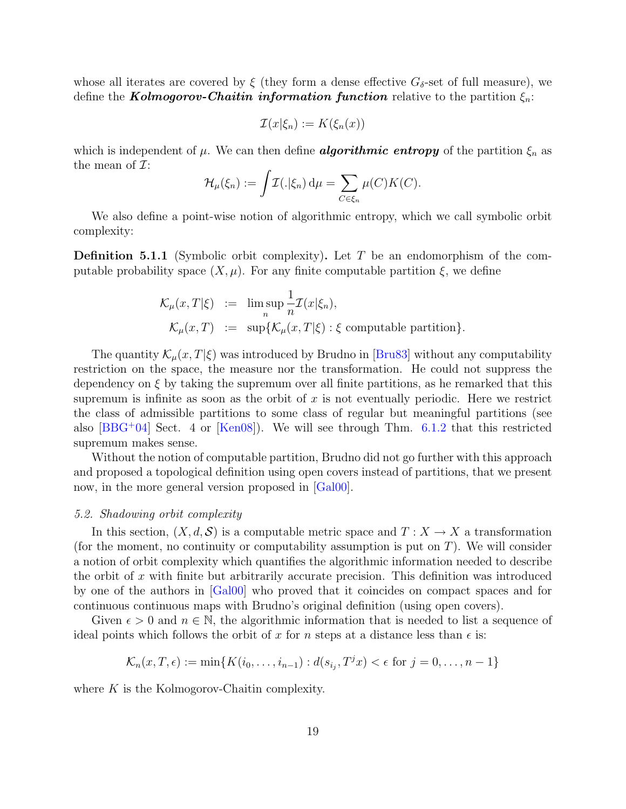whose all iterates are covered by  $\xi$  (they form a dense effective  $G_{\delta}$ -set of full measure), we define the **Kolmogorov-Chaitin information function** relative to the partition  $\xi_n$ :

$$
\mathcal{I}(x|\xi_n) := K(\xi_n(x))
$$

which is independent of  $\mu$ . We can then define **algorithmic entropy** of the partition  $\xi_n$  as the mean of  $\mathcal{I}$ :

$$
\mathcal{H}_{\mu}(\xi_n) := \int \mathcal{I}(.|\xi_n) \, \mathrm{d}\mu = \sum_{C \in \xi_n} \mu(C) K(C).
$$

We also define a point-wise notion of algorithmic entropy, which we call symbolic orbit complexity:

**Definition 5.1.1** (Symbolic orbit complexity). Let T be an endomorphism of the computable probability space  $(X, \mu)$ . For any finite computable partition  $\xi$ , we define

$$
\mathcal{K}_{\mu}(x,T|\xi) := \limsup_{n} \frac{1}{n} \mathcal{I}(x|\xi_n),
$$
  

$$
\mathcal{K}_{\mu}(x,T) := \sup \{ \mathcal{K}_{\mu}(x,T|\xi) : \xi \text{ computable partition} \}.
$$

The quantity  $\mathcal{K}_u(x,T|\xi)$  was introduced by Brudno in [\[Bru83\]](#page-29-3) without any computability restriction on the space, the measure nor the transformation. He could not suppress the dependency on  $\xi$  by taking the supremum over all finite partitions, as he remarked that this supremum is infinite as soon as the orbit of  $x$  is not eventually periodic. Here we restrict the class of admissible partitions to some class of regular but meaningful partitions (see also  $[BBG^+04]$  Sect. 4 or  $[Ken08]$ . We will see through Thm. [6.1.2](#page-25-0) that this restricted supremum makes sense.

Without the notion of computable partition, Brudno did not go further with this approach and proposed a topological definition using open covers instead of partitions, that we present now, in the more general version proposed in [\[Gal00\]](#page-29-4).

#### <span id="page-19-0"></span>5.2. Shadowing orbit complexity

In this section,  $(X, d, \mathcal{S})$  is a computable metric space and  $T : X \to X$  a transformation (for the moment, no continuity or computability assumption is put on  $T$ ). We will consider a notion of orbit complexity which quantifies the algorithmic information needed to describe the orbit of x with finite but arbitrarily accurate precision. This definition was introduced by one of the authors in [\[Gal00\]](#page-29-4) who proved that it coincides on compact spaces and for continuous continuous maps with Brudno's original definition (using open covers).

Given  $\epsilon > 0$  and  $n \in \mathbb{N}$ , the algorithmic information that is needed to list a sequence of ideal points which follows the orbit of x for n steps at a distance less than  $\epsilon$  is:

$$
\mathcal{K}_n(x, T, \epsilon) := \min\{K(i_0, \ldots, i_{n-1}) : d(s_{i_j}, T^j x) < \epsilon \text{ for } j = 0, \ldots, n-1\}
$$

where  $K$  is the Kolmogorov-Chaitin complexity.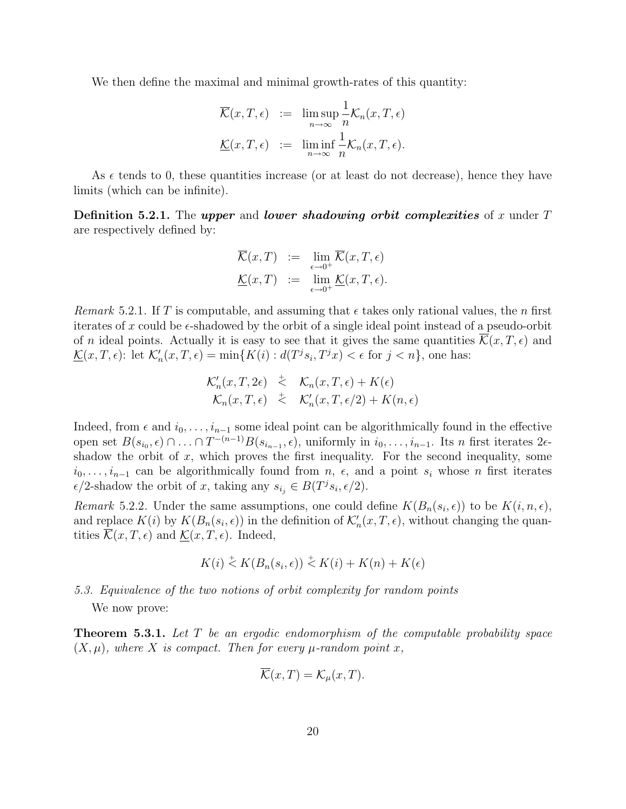We then define the maximal and minimal growth-rates of this quantity:

$$
\overline{\mathcal{K}}(x,T,\epsilon) := \limsup_{n \to \infty} \frac{1}{n} \mathcal{K}_n(x,T,\epsilon)
$$

$$
\underline{\mathcal{K}}(x,T,\epsilon) := \liminf_{n \to \infty} \frac{1}{n} \mathcal{K}_n(x,T,\epsilon).
$$

As  $\epsilon$  tends to 0, these quantities increase (or at least do not decrease), hence they have limits (which can be infinite).

**Definition 5.2.1.** The upper and lower shadowing orbit complexities of x under T are respectively defined by:

$$
\overline{\mathcal{K}}(x,T) := \lim_{\epsilon \to 0^+} \overline{\mathcal{K}}(x,T,\epsilon)
$$

$$
\underline{\mathcal{K}}(x,T) := \lim_{\epsilon \to 0^+} \underline{\mathcal{K}}(x,T,\epsilon).
$$

Remark 5.2.1. If T is computable, and assuming that  $\epsilon$  takes only rational values, the n first iterates of x could be  $\epsilon$ -shadowed by the orbit of a single ideal point instead of a pseudo-orbit of n ideal points. Actually it is easy to see that it gives the same quantities  $\mathcal{K}(x,T,\epsilon)$  and  $\underline{\mathcal{K}}(x,T,\epsilon)$ : let  $\mathcal{K}'_n(x,T,\epsilon) = \min\{K(i) : d(T^j s_i, T^j x) < \epsilon \text{ for } j < n\}$ , one has:

$$
\mathcal{K}'_n(x,T,2\epsilon) \stackrel{\doteq}{\leq} \mathcal{K}_n(x,T,\epsilon) + K(\epsilon) \mathcal{K}_n(x,T,\epsilon) \stackrel{\doteq}{\leq} \mathcal{K}'_n(x,T,\epsilon/2) + K(n,\epsilon)
$$

Indeed, from  $\epsilon$  and  $i_0, \ldots, i_{n-1}$  some ideal point can be algorithmically found in the effective open set  $B(s_{i_0}, \epsilon) \cap ... \cap T^{-(n-1)}B(s_{i_{n-1}}, \epsilon)$ , uniformly in  $i_0, ..., i_{n-1}$ . Its n first iterates 2 $\epsilon$ shadow the orbit of  $x$ , which proves the first inequality. For the second inequality, some  $i_0, \ldots, i_{n-1}$  can be algorithmically found from  $n, \epsilon$ , and a point  $s_i$  whose n first iterates  $\epsilon/2$ -shadow the orbit of x, taking any  $s_{i_j} \in B(T^j s_i, \epsilon/2)$ .

Remark 5.2.2. Under the same assumptions, one could define  $K(B_n(s_i, \epsilon))$  to be  $K(i, n, \epsilon)$ , and replace  $K(i)$  by  $K(B_n(s_i, \epsilon))$  in the definition of  $\mathcal{K}'_n(x,T,\epsilon)$ , without changing the quantities  $\overline{\mathcal{K}}(x,T,\epsilon)$  and  $\underline{\mathcal{K}}(x,T,\epsilon)$ . Indeed,

$$
K(i) \stackrel{+}{\leq} K(B_n(s_i, \epsilon)) \stackrel{+}{\leq} K(i) + K(n) + K(\epsilon)
$$

## 5.3. Equivalence of the two notions of orbit complexity for random points

We now prove:

<span id="page-20-0"></span>Theorem 5.3.1. Let T be an ergodic endomorphism of the computable probability space  $(X, \mu)$ , where X is compact. Then for every  $\mu$ -random point x,

$$
\overline{\mathcal{K}}(x,T) = \mathcal{K}_{\mu}(x,T).
$$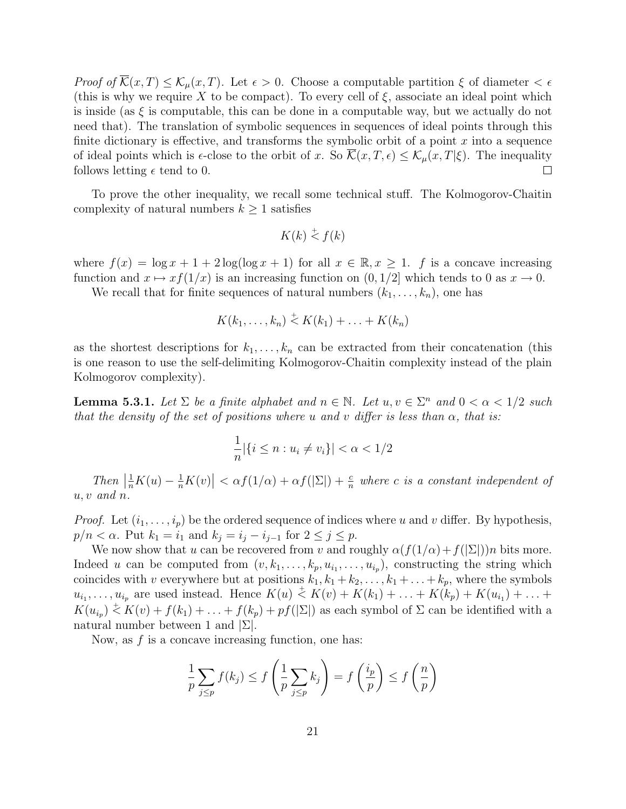Proof of  $\overline{\mathcal{K}}(x,T) \leq \mathcal{K}_{\mu}(x,T)$ . Let  $\epsilon > 0$ . Choose a computable partition  $\xi$  of diameter  $\epsilon \epsilon$ (this is why we require X to be compact). To every cell of  $\xi$ , associate an ideal point which is inside (as  $\xi$  is computable, this can be done in a computable way, but we actually do not need that). The translation of symbolic sequences in sequences of ideal points through this finite dictionary is effective, and transforms the symbolic orbit of a point  $x$  into a sequence of ideal points which is  $\epsilon$ -close to the orbit of x. So  $\overline{\mathcal{K}}(x,T,\epsilon) \leq \mathcal{K}_{\mu}(x,T|\xi)$ . The inequality follows letting  $\epsilon$  tend to 0.  $\Box$ 

To prove the other inequality, we recall some technical stuff. The Kolmogorov-Chaitin complexity of natural numbers  $k \geq 1$  satisfies

$$
K(k) \stackrel{+}{\leq} f(k)
$$

where  $f(x) = \log x + 1 + 2 \log(\log x + 1)$  for all  $x \in \mathbb{R}, x \ge 1$ . f is a concave increasing function and  $x \mapsto xf(1/x)$  is an increasing function on  $(0, 1/2]$  which tends to 0 as  $x \to 0$ .

We recall that for finite sequences of natural numbers  $(k_1, \ldots, k_n)$ , one has

$$
K(k_1,\ldots,k_n) \stackrel{+}{\leq} K(k_1) + \ldots + K(k_n)
$$

as the shortest descriptions for  $k_1, \ldots, k_n$  can be extracted from their concatenation (this is one reason to use the self-delimiting Kolmogorov-Chaitin complexity instead of the plain Kolmogorov complexity).

<span id="page-21-0"></span>**Lemma 5.3.1.** Let  $\Sigma$  be a finite alphabet and  $n \in \mathbb{N}$ . Let  $u, v \in \Sigma^n$  and  $0 < \alpha < 1/2$  such that the density of the set of positions where u and v differ is less than  $\alpha$ , that is:

$$
\frac{1}{n} |\{i \le n : u_i \ne v_i\}| < \alpha < 1/2
$$

Then  $\left|\frac{1}{n}K(u) - \frac{1}{n}K(v)\right| < \alpha f(1/\alpha) + \alpha f(|\Sigma|) + \frac{c}{n}$  where c is a constant independent of  $u, v$  and  $n$ .

*Proof.* Let  $(i_1, \ldots, i_p)$  be the ordered sequence of indices where u and v differ. By hypothesis,  $p/n < \alpha$ . Put  $k_1 = i_1$  and  $k_j = i_j - i_{j-1}$  for  $2 \leq j \leq p$ .

We now show that u can be recovered from v and roughly  $\alpha(f(1/\alpha)+f(|\Sigma|))n$  bits more. Indeed u can be computed from  $(v, k_1, \ldots, k_p, u_{i_1}, \ldots, u_{i_p})$ , constructing the string which coincides with v everywhere but at positions  $k_1, k_1 + k_2, \ldots, k_1 + \ldots + k_p$ , where the symbols  $u_{i_1}, \ldots, u_{i_p}$  are used instead. Hence  $K(u) \stackrel{+}{\leq} K(v) + K(k_1) + \ldots + K(k_p) + K(u_{i_1}) + \ldots +$  $K(u_{i_p}) \stackrel{+}{\leq} K(v) + f(k_1) + \ldots + f(k_p) + pf(|\Sigma|)$  as each symbol of  $\Sigma$  can be identified with a natural number between 1 and  $|\Sigma|$ .

Now, as  $f$  is a concave increasing function, one has:

$$
\frac{1}{p}\sum_{j\leq p}f(k_j)\leq f\left(\frac{1}{p}\sum_{j\leq p}k_j\right)=f\left(\frac{i_p}{p}\right)\leq f\left(\frac{n}{p}\right)
$$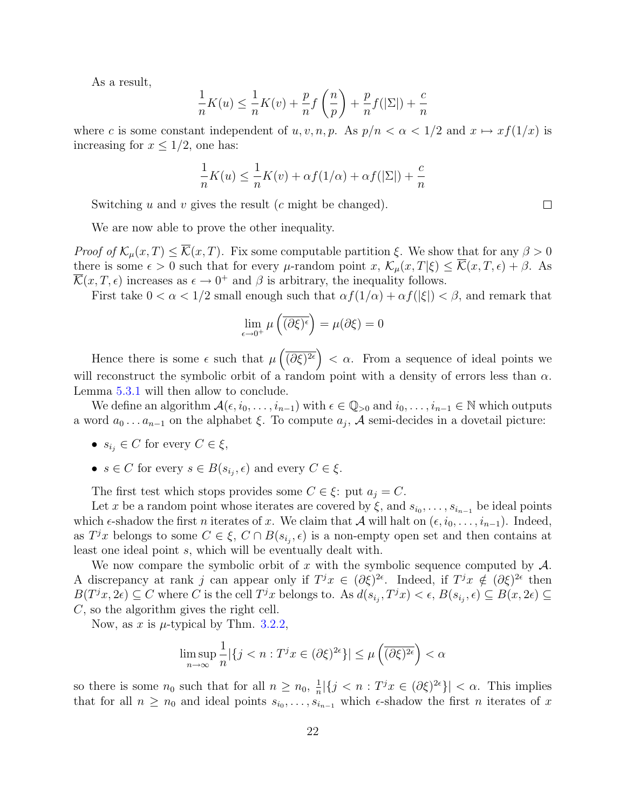As a result,

$$
\frac{1}{n}K(u) \le \frac{1}{n}K(v) + \frac{p}{n}f\left(\frac{n}{p}\right) + \frac{p}{n}f(|\Sigma|) + \frac{c}{n}
$$

where c is some constant independent of u, v, n, p. As  $p/n < \alpha < 1/2$  and  $x \mapsto xf(1/x)$  is increasing for  $x \leq 1/2$ , one has:

$$
\frac{1}{n}K(u) \le \frac{1}{n}K(v) + \alpha f(1/\alpha) + \alpha f(|\Sigma|) + \frac{c}{n}
$$

Switching u and v gives the result  $(c \text{ might be changed}).$ 

We are now able to prove the other inequality.

*Proof of*  $\mathcal{K}_{\mu}(x,T) \leq \overline{\mathcal{K}}(x,T)$ . Fix some computable partition  $\xi$ . We show that for any  $\beta > 0$ there is some  $\epsilon > 0$  such that for every  $\mu$ -random point  $x, \mathcal{K}_{\mu}(x,T|\xi) \leq \overline{\mathcal{K}}(x,T,\epsilon) + \beta$ . As  $\overline{\mathcal{K}}(x,T,\epsilon)$  increases as  $\epsilon \to 0^+$  and  $\beta$  is arbitrary, the inequality follows.

First take  $0 < \alpha < 1/2$  small enough such that  $\alpha f(1/\alpha) + \alpha f(|\xi|) < \beta$ , and remark that

$$
\lim_{\epsilon \to 0^+} \mu\left(\overline{(\partial \xi)^{\epsilon}}\right) = \mu(\partial \xi) = 0
$$

Hence there is some  $\epsilon$  such that  $\mu\left(\overline{(\partial \xi)^{2\epsilon}}\right) < \alpha$ . From a sequence of ideal points we will reconstruct the symbolic orbit of a random point with a density of errors less than  $\alpha$ . Lemma [5.3.1](#page-21-0) will then allow to conclude.

We define an algorithm  $\mathcal{A}(\epsilon, i_0, \ldots, i_{n-1})$  with  $\epsilon \in \mathbb{Q}_{>0}$  and  $i_0, \ldots, i_{n-1} \in \mathbb{N}$  which outputs a word  $a_0 \ldots a_{n-1}$  on the alphabet  $\xi$ . To compute  $a_j$ , A semi-decides in a dovetail picture:

- $s_{i_j} \in C$  for every  $C \in \xi$ ,
- $s \in C$  for every  $s \in B(s_{i_j}, \epsilon)$  and every  $C \in \xi$ .

The first test which stops provides some  $C \in \xi$ : put  $a_j = C$ .

Let x be a random point whose iterates are covered by  $\xi$ , and  $s_{i_0}, \ldots, s_{i_{n-1}}$  be ideal points which  $\epsilon$ -shadow the first *n* iterates of x. We claim that A will halt on  $(\epsilon, i_0, \ldots, i_{n-1})$ . Indeed, as  $T^jx$  belongs to some  $C \in \xi$ ,  $C \cap B(s_{i_j}, \epsilon)$  is a non-empty open set and then contains at least one ideal point s, which will be eventually dealt with.

We now compare the symbolic orbit of x with the symbolic sequence computed by  $\mathcal{A}$ . A discrepancy at rank j can appear only if  $T^jx \in (\partial \xi)^{2\epsilon}$ . Indeed, if  $T^jx \notin (\partial \xi)^{2\epsilon}$  then  $B(T^jx, 2\epsilon) \subseteq C$  where C is the cell  $T^jx$  belongs to. As  $d(s_{i_j}, T^jx) < \epsilon$ ,  $B(s_{i_j}, \epsilon) \subseteq B(x, 2\epsilon) \subseteq$ C, so the algorithm gives the right cell.

Now, as x is  $\mu$ -typical by Thm. [3.2.2,](#page-15-0)

$$
\limsup_{n \to \infty} \frac{1}{n} |\{ j < n : T^j x \in (\partial \xi)^{2\epsilon} \}| \le \mu \left( \overline{(\partial \xi)^{2\epsilon}} \right) < \alpha
$$

so there is some  $n_0$  such that for all  $n \geq n_0$ ,  $\frac{1}{n}$  $\frac{1}{n} |\{j \leq n : T^j x \in (\partial \xi)^{2\epsilon}\}| < \alpha$ . This implies that for all  $n \geq n_0$  and ideal points  $s_{i_0}, \ldots, s_{i_{n-1}}$  which  $\epsilon$ -shadow the first *n* iterates of x

 $\Box$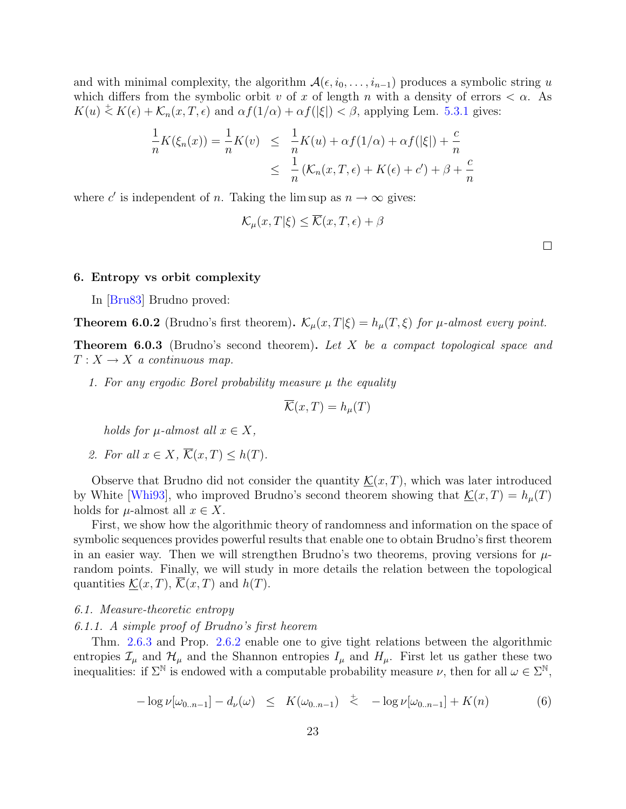and with minimal complexity, the algorithm  $\mathcal{A}(\epsilon, i_0, \ldots, i_{n-1})$  produces a symbolic string u which differs from the symbolic orbit v of x of length n with a density of errors  $\langle \alpha$ . As  $K(u) \stackrel{+}{\leq} K(\epsilon) + \mathcal{K}_n(x,T,\epsilon)$  and  $\alpha f(1/\alpha) + \alpha f(|\xi|) < \beta$ , applying Lem. [5.3.1](#page-21-0) gives:

$$
\frac{1}{n}K(\xi_n(x)) = \frac{1}{n}K(v) \leq \frac{1}{n}K(u) + \alpha f(1/\alpha) + \alpha f(|\xi|) + \frac{c}{n}
$$
  

$$
\leq \frac{1}{n}(K_n(x,T,\epsilon) + K(\epsilon) + c') + \beta + \frac{c}{n}
$$

where c' is independent of n. Taking the lim sup as  $n \to \infty$  gives:

$$
\mathcal{K}_{\mu}(x,T|\xi) \le \overline{\mathcal{K}}(x,T,\epsilon) + \beta
$$

 $\Box$ 

### 6. Entropy vs orbit complexity

In [\[Bru83\]](#page-29-3) Brudno proved:

<span id="page-23-1"></span>**Theorem 6.0.2** (Brudno's first theorem).  $\mathcal{K}_{\mu}(x,T|\xi) = h_{\mu}(T,\xi)$  for  $\mu$ -almost every point.

<span id="page-23-2"></span>**Theorem 6.0.3** (Brudno's second theorem). Let X be a compact topological space and  $T: X \to X$  a continuous map.

1. For any ergodic Borel probability measure  $\mu$  the equality

$$
\overline{\mathcal{K}}(x,T) = h_{\mu}(T)
$$

holds for  $\mu$ -almost all  $x \in X$ ,

2. For all 
$$
x \in X
$$
,  $\overline{\mathcal{K}}(x,T) \leq h(T)$ .

Observe that Brudno did not consider the quantity  $\mathcal{K}(x,T)$ , which was later introduced by White [\[Whi93\]](#page-30-1), who improved Brudno's second theorem showing that  $\mathcal{K}(x,T) = h_{\mu}(T)$ holds for  $\mu$ -almost all  $x \in X$ .

First, we show how the algorithmic theory of randomness and information on the space of symbolic sequences provides powerful results that enable one to obtain Brudno's first theorem in an easier way. Then we will strengthen Brudno's two theorems, proving versions for  $\mu$ random points. Finally, we will study in more details the relation between the topological quantities  $\mathcal{K}(x,T)$ ,  $\overline{\mathcal{K}}(x,T)$  and  $h(T)$ .

#### 6.1. Measure-theoretic entropy

6.1.1. A simple proof of Brudno's first heorem

<span id="page-23-0"></span>Thm. [2.6.3](#page-10-0) and Prop. [2.6.2](#page-10-1) enable one to give tight relations between the algorithmic entropies  $\mathcal{I}_{\mu}$  and  $\mathcal{H}_{\mu}$  and the Shannon entropies  $I_{\mu}$  and  $H_{\mu}$ . First let us gather these two inequalities: if  $\Sigma^{\mathbb{N}}$  is endowed with a computable probability measure  $\nu$ , then for all  $\omega \in \Sigma^{\mathbb{N}}$ ,

$$
-\log \nu[\omega_{0..n-1}] - d_{\nu}(\omega) \leq K(\omega_{0..n-1}) \leq -\log \nu[\omega_{0..n-1}] + K(n) \tag{6}
$$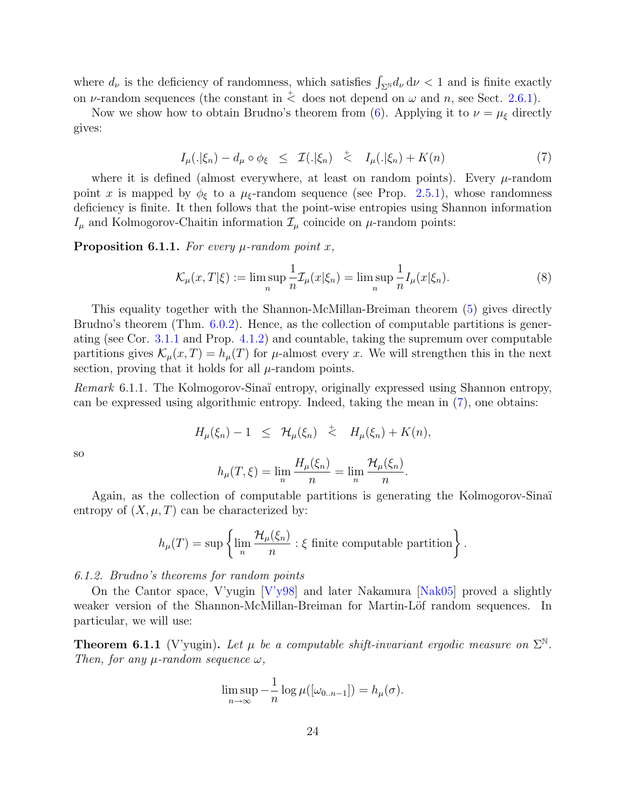where  $d_{\nu}$  is the deficiency of randomness, which satisfies  $\int_{\Sigma^{\mathbb{N}}} d_{\nu} d\nu < 1$  and is finite exactly on v-random sequences (the constant in  $\stackrel{+}{\leq}$  does not depend on  $\omega$  and n, see Sect. [2.6.1\)](#page-10-2).

<span id="page-24-0"></span>Now we show how to obtain Brudno's theorem from [\(6\)](#page-23-0). Applying it to  $\nu = \mu_{\xi}$  directly gives:

$$
I_{\mu}(.|\xi_n) - d_{\mu} \circ \phi_{\xi} \leq \mathcal{I}(.|\xi_n) \leq I_{\mu}(.|\xi_n) + K(n) \tag{7}
$$

where it is defined (almost everywhere, at least on random points). Every  $\mu$ -random point x is mapped by  $\phi_{\xi}$  to a  $\mu_{\xi}$ -random sequence (see Prop. [2.5.1\)](#page-9-1), whose randomness deficiency is finite. It then follows that the point-wise entropies using Shannon information  $I_{\mu}$  and Kolmogorov-Chaitin information  $\mathcal{I}_{\mu}$  coincide on  $\mu$ -random points:

**Proposition 6.1.1.** For every  $\mu$ -random point x,

<span id="page-24-1"></span>
$$
\mathcal{K}_{\mu}(x,T|\xi) := \limsup_{n} \frac{1}{n} \mathcal{I}_{\mu}(x|\xi_n) = \limsup_{n} \frac{1}{n} I_{\mu}(x|\xi_n). \tag{8}
$$

This equality together with the Shannon-McMillan-Breiman theorem [\(5\)](#page-16-0) gives directly Brudno's theorem (Thm. [6.0.2\)](#page-23-1). Hence, as the collection of computable partitions is generating (see Cor. [3.1.1](#page-13-1) and Prop. [4.1.2\)](#page-17-0) and countable, taking the supremum over computable partitions gives  $\mathcal{K}_\mu(x,T) = h_\mu(T)$  for  $\mu$ -almost every x. We will strengthen this in the next section, proving that it holds for all  $\mu$ -random points.

Remark 6.1.1. The Kolmogorov-Sinaï entropy, originally expressed using Shannon entropy, can be expressed using algorithmic entropy. Indeed, taking the mean in [\(7\)](#page-24-0), one obtains:

$$
H_{\mu}(\xi_n) - 1 \leq \mathcal{H}_{\mu}(\xi_n) \leq H_{\mu}(\xi_n) + K(n),
$$

so

$$
h_{\mu}(T,\xi) = \lim_{n} \frac{H_{\mu}(\xi_n)}{n} = \lim_{n} \frac{\mathcal{H}_{\mu}(\xi_n)}{n}.
$$

Again, as the collection of computable partitions is generating the Kolmogorov-Sinaï entropy of  $(X, \mu, T)$  can be characterized by:

$$
h_{\mu}(T) = \sup \left\{ \lim_{n} \frac{\mathcal{H}_{\mu}(\xi_n)}{n} : \xi \text{ finite computable partition} \right\}.
$$

6.1.2. Brudno's theorems for random points

On the Cantor space, V'yugin [\[V'y98\]](#page-30-11) and later Nakamura [\[Nak05\]](#page-30-12) proved a slightly weaker version of the Shannon-McMillan-Breiman for Martin-Löf random sequences. In particular, we will use:

**Theorem 6.1.1** (V'yugin). Let  $\mu$  be a computable shift-invariant ergodic measure on  $\Sigma^{\mathbb{N}}$ . Then, for any  $\mu$ -random sequence  $\omega$ ,

$$
\limsup_{n\to\infty}-\frac{1}{n}\log\mu([\omega_{0..n-1}])=h_{\mu}(\sigma).
$$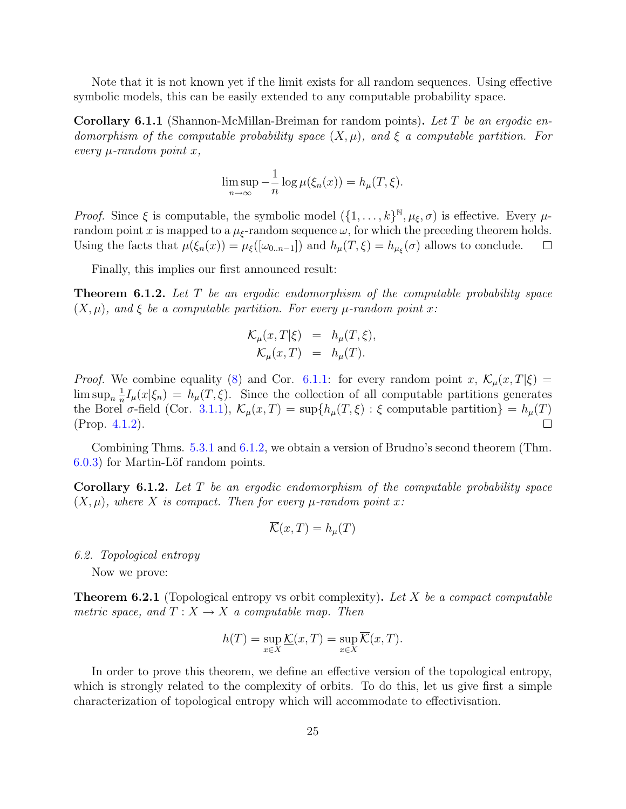Note that it is not known yet if the limit exists for all random sequences. Using effective symbolic models, this can be easily extended to any computable probability space.

<span id="page-25-2"></span>**Corollary 6.1.1** (Shannon-McMillan-Breiman for random points). Let T be an ergodic endomorphism of the computable probability space  $(X, \mu)$ , and  $\xi$  a computable partition. For every  $\mu$ -random point x,

$$
\limsup_{n \to \infty} -\frac{1}{n} \log \mu(\xi_n(x)) = h_\mu(T, \xi).
$$

*Proof.* Since  $\xi$  is computable, the symbolic model  $(\{1,\ldots,k\}^{\mathbb{N}},\mu_{\xi},\sigma)$  is effective. Every  $\mu$ random point x is mapped to a  $\mu_{\xi}$ -random sequence  $\omega$ , for which the preceding theorem holds. Using the facts that  $\mu(\xi_n(x)) = \mu_{\xi}([\omega_{0..n-1}])$  and  $h_{\mu}(T,\xi) = h_{\mu_{\xi}}(\sigma)$  allows to conclude.  $\Box$ 

Finally, this implies our first announced result:

<span id="page-25-0"></span>**Theorem 6.1.2.** Let T be an ergodic endomorphism of the computable probability space  $(X, \mu)$ , and  $\xi$  be a computable partition. For every  $\mu$ -random point x:

$$
\mathcal{K}_{\mu}(x,T|\xi) = h_{\mu}(T,\xi),
$$
  

$$
\mathcal{K}_{\mu}(x,T) = h_{\mu}(T).
$$

*Proof.* We combine equality [\(8\)](#page-24-1) and Cor. [6.1.1:](#page-25-2) for every random point x,  $\mathcal{K}_{\mu}(x,T|\xi)$  =  $\limsup_{n} \frac{1}{n}$  $\frac{1}{n}I_{\mu}(x|\xi_n) = h_{\mu}(T,\xi)$ . Since the collection of all computable partitions generates the Borel  $\sigma$ -field (Cor. [3.1.1\)](#page-13-1),  $\mathcal{K}_{\mu}(x,T) = \sup\{h_{\mu}(T,\xi): \xi \text{ computable partition}\}=h_{\mu}(T)$ (Prop. [4.1.2\)](#page-17-0).  $\Box$ 

Combining Thms. [5.3.1](#page-20-0) and [6.1.2,](#page-25-0) we obtain a version of Brudno's second theorem (Thm.  $(6.0.3)$  $(6.0.3)$  for Martin-Löf random points.

Corollary 6.1.2. Let T be an ergodic endomorphism of the computable probability space  $(X, \mu)$ , where X is compact. Then for every  $\mu$ -random point x:

$$
\mathcal{K}(x,T) = h_{\mu}(T)
$$

#### 6.2. Topological entropy

Now we prove:

<span id="page-25-1"></span>**Theorem 6.2.1** (Topological entropy vs orbit complexity). Let X be a compact computable metric space, and  $T : X \to X$  a computable map. Then

$$
h(T) = \sup_{x \in X} \underline{\mathcal{K}}(x, T) = \sup_{x \in X} \overline{\mathcal{K}}(x, T).
$$

In order to prove this theorem, we define an effective version of the topological entropy, which is strongly related to the complexity of orbits. To do this, let us give first a simple characterization of topological entropy which will accommodate to effectivisation.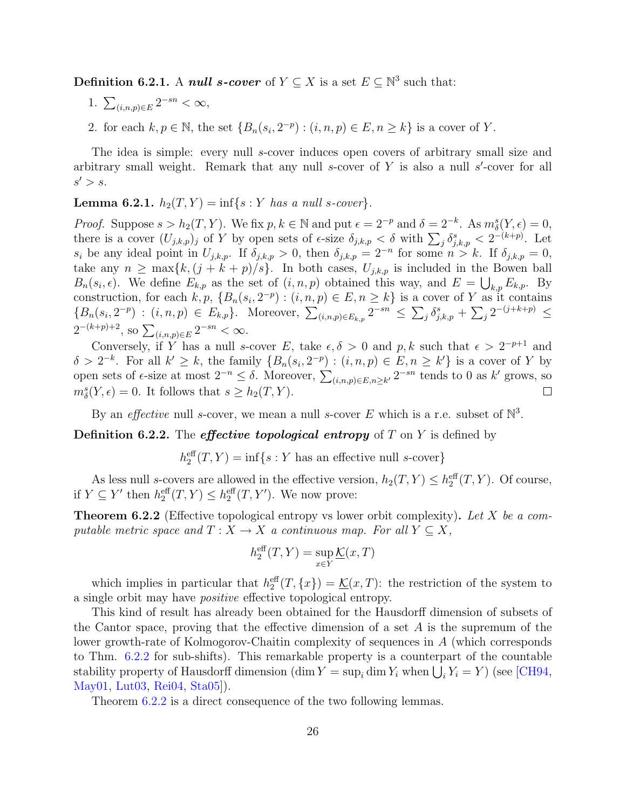**Definition 6.2.1.** A *null s-cover* of  $Y \subseteq X$  is a set  $E \subseteq \mathbb{N}^3$  such that:

- 1.  $\sum_{(i,n,p)\in E} 2^{-sn} < \infty$ ,
- 2. for each  $k, p \in \mathbb{N}$ , the set  $\{B_n(s_i, 2^{-p}) : (i, n, p) \in E, n \geq k\}$  is a cover of Y.

The idea is simple: every null s-cover induces open covers of arbitrary small size and arbitrary small weight. Remark that any null  $s$ -cover of  $Y$  is also a null  $s'$ -cover for all  $s' > s$ .

#### **Lemma 6.2.1.**  $h_2(T, Y) = \inf\{s : Y \text{ has a null s-cover}\}.$

*Proof.* Suppose  $s > h_2(T, Y)$ . We fix  $p, k \in \mathbb{N}$  and put  $\epsilon = 2^{-p}$  and  $\delta = 2^{-k}$ . As  $m_\delta^s(Y, \epsilon) = 0$ , there is a cover  $(U_{j,k,p})_j$  of Y by open sets of  $\epsilon$ -size  $\delta_{j,k,p} < \delta$  with  $\sum_j \delta_{j,k,p}^s < 2^{-(k+p)}$ . Let  $s_i$  be any ideal point in  $U_{j,k,p}$ . If  $\delta_{j,k,p} > 0$ , then  $\delta_{j,k,p} = 2^{-n}$  for some  $n > k$ . If  $\delta_{j,k,p} = 0$ , take any  $n \geq \max\{k, (j + k + p)/s\}$ . In both cases,  $U_{j,k,p}$  is included in the Bowen ball  $B_n(s_i, \epsilon)$ . We define  $E_{k,p}$  as the set of  $(i, n, p)$  obtained this way, and  $E = \bigcup_{k,p} E_{k,p}$ . By construction, for each  $k, p, \{B_n(s_i, 2^{-p}) : (i, n, p) \in E, n \geq k\}$  is a cover of Y as it contains  ${B_n(s_i, 2^{-p}) : (i, n, p) \in E_{k,p}}$ . Moreover,  $\sum_{(i,n,p)\in E_{k,p}} 2^{-sn} \leq \sum_j \delta_{j,k,p}^s + \sum_j 2^{-(j+k+p)} \leq$  $2^{-(k+p)+2}$ , so  $\sum_{(i,n,p)\in E} 2^{-sn} < \infty$ .

Conversely, if Y has a null s-cover E, take  $\epsilon, \delta > 0$  and p, k such that  $\epsilon > 2^{-p+1}$  and  $\delta > 2^{-k}$ . For all  $k' \geq k$ , the family  $\{B_n(s_i, 2^{-p}) : (i, n, p) \in E, n \geq k'\}$  is a cover of Y by open sets of  $\epsilon$ -size at most  $2^{-n} \leq \delta$ . Moreover,  $\sum_{(i,n,p)\in E,n\geq k'} 2^{-sn}$  tends to 0 as k' grows, so  $m_{\delta}^{s}(Y,\epsilon) = 0.$  It follows that  $s \geq h_2(T, Y)$ .  $\Box$ 

By an *effective* null s-cover, we mean a null s-cover E which is a r.e. subset of  $\mathbb{N}^3$ .

**Definition 6.2.2.** The *effective topological entropy* of  $T$  on  $Y$  is defined by

 $h_2^{\text{eff}}(T, Y) = \inf\{s : Y \text{ has an effective null } s\text{-cover}\}\$ 

As less null s-covers are allowed in the effective version,  $h_2(T, Y) \leq h_2^{\text{eff}}(T, Y)$ . Of course, if  $Y \subseteq Y'$  then  $h_2^{\text{eff}}(T, Y) \leq h_2^{\text{eff}}(T, Y')$ . We now prove:

<span id="page-26-0"></span>**Theorem 6.2.2** (Effective topological entropy vs lower orbit complexity). Let X be a computable metric space and  $T : X \to X$  a continuous map. For all  $Y \subseteq X$ ,

$$
h_2^{\text{eff}}(T, Y) = \sup_{x \in Y} \underline{\mathcal{K}}(x, T)
$$

which implies in particular that  $h_2^{\text{eff}}(T, \{x\}) = \underline{\mathcal{K}}(x,T)$ : the restriction of the system to a single orbit may have positive effective topological entropy.

This kind of result has already been obtained for the Hausdorff dimension of subsets of the Cantor space, proving that the effective dimension of a set  $A$  is the supremum of the lower growth-rate of Kolmogorov-Chaitin complexity of sequences in A (which corresponds to Thm. [6.2.2](#page-26-0) for sub-shifts). This remarkable property is a counterpart of the countable stability property of Hausdorff dimension  $(\dim Y = \sup_i \dim Y_i$  when  $\bigcup_i Y_i = Y)$  (see [\[CH94,](#page-29-12) [May01,](#page-30-13) [Lut03,](#page-29-13) [Rei04,](#page-30-14) [Sta05\]](#page-30-15)).

<span id="page-26-1"></span>Theorem [6.2.2](#page-26-0) is a direct consequence of the two following lemmas.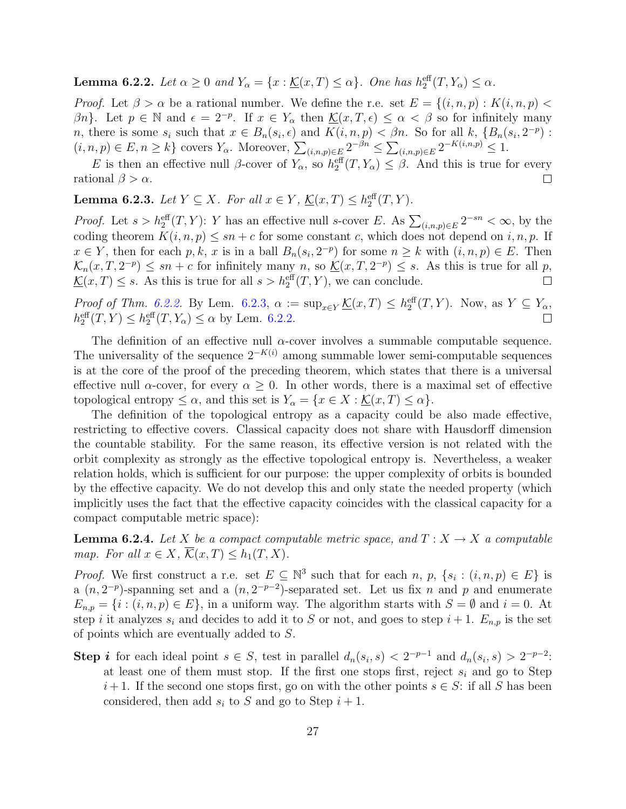**Lemma 6.2.2.** Let  $\alpha \geq 0$  and  $Y_{\alpha} = \{x : \underline{\mathcal{K}}(x,T) \leq \alpha\}$ . One has  $h_2^{\text{eff}}(T, Y_{\alpha}) \leq \alpha$ .

*Proof.* Let  $\beta > \alpha$  be a rational number. We define the r.e. set  $E = \{(i, n, p) : K(i, n, p) <$  $\beta n$ . Let  $p \in \mathbb{N}$  and  $\epsilon = 2^{-p}$ . If  $x \in Y_\alpha$  then  $\underline{\mathcal{K}}(x,T,\epsilon) \leq \alpha < \beta$  so for infinitely many n, there is some  $s_i$  such that  $x \in B_n(s_i, \epsilon)$  and  $K(i, n, p) < \beta n$ . So for all k,  $\{B_n(s_i, 2^{-p})$ :  $(i, n, p) \in E, n \geq k$  covers  $Y_{\alpha}$ . Moreover,  $\sum_{(i,n,p)\in E} 2^{-\beta n} \leq \sum_{(i,n,p)\in E} 2^{-K(i,n,p)} \leq 1$ .

E is then an effective null  $\beta$ -cover of  $Y_\alpha$ , so  $h_2^{\text{eff}}(T, Y_\alpha) \leq \beta$ . And this is true for every rational  $\beta > \alpha$ .  $\Box$ 

<span id="page-27-0"></span>**Lemma 6.2.3.** Let  $Y \subseteq X$ . For all  $x \in Y$ ,  $\underline{\mathcal{K}}(x,T) \leq h_2^{\text{eff}}(T,Y)$ .

*Proof.* Let  $s > h_2^{\text{eff}}(T, Y)$ : Y has an effective null s-cover E. As  $\sum_{(i,n,p)\in E} 2^{-sn} < \infty$ , by the coding theorem  $K(i, n, p) \leq sn + c$  for some constant c, which does not depend on i, n, p. If  $x \in Y$ , then for each p, k, x is in a ball  $B_n(s_i, 2^{-p})$  for some  $n \geq k$  with  $(i, n, p) \in E$ . Then  $\mathcal{K}_n(x,T,2^{-p}) \leq sn + c$  for infinitely many n, so  $\underline{\mathcal{K}}(x,T,2^{-p}) \leq s$ . As this is true for all p,  $\underline{\mathcal{K}}(x,T) \leq s$ . As this is true for all  $s > h_2^{\text{eff}}(T, Y)$ , we can conclude.  $\Box$ 

*Proof of Thm.* [6.2.2.](#page-26-0) By Lem. [6.2.3,](#page-27-0)  $\alpha := \sup_{x \in Y} \mathcal{L}(x,T) \leq h_2^{\text{eff}}(T,Y)$ . Now, as  $Y \subseteq Y_\alpha$ ,  $h_2^{\text{eff}}(T,Y) \leq h_2^{\text{eff}}(T,Y_\alpha) \leq \alpha$  by Lem. [6.2.2.](#page-26-1)  $\Box$ 

The definition of an effective null  $\alpha$ -cover involves a summable computable sequence. The universality of the sequence  $2^{-K(i)}$  among summable lower semi-computable sequences is at the core of the proof of the preceding theorem, which states that there is a universal effective null  $\alpha$ -cover, for every  $\alpha \geq 0$ . In other words, there is a maximal set of effective topological entropy  $\leq \alpha$ , and this set is  $Y_{\alpha} = \{x \in X : \underline{\mathcal{K}}(x,T) \leq \alpha\}.$ 

The definition of the topological entropy as a capacity could be also made effective, restricting to effective covers. Classical capacity does not share with Hausdorff dimension the countable stability. For the same reason, its effective version is not related with the orbit complexity as strongly as the effective topological entropy is. Nevertheless, a weaker relation holds, which is sufficient for our purpose: the upper complexity of orbits is bounded by the effective capacity. We do not develop this and only state the needed property (which implicitly uses the fact that the effective capacity coincides with the classical capacity for a compact computable metric space):

<span id="page-27-1"></span>**Lemma 6.2.4.** Let X be a compact computable metric space, and  $T : X \to X$  a computable map. For all  $x \in X$ ,  $\overline{\mathcal{K}}(x,T) \leq h_1(T,X)$ .

*Proof.* We first construct a r.e. set  $E \subseteq \mathbb{N}^3$  such that for each n, p,  $\{s_i : (i, n, p) \in E\}$  is a  $(n, 2^{-p})$ -spanning set and a  $(n, 2^{-p-2})$ -separated set. Let us fix n and p and enumerate  $E_{n,p} = \{i : (i, n, p) \in E\}$ , in a uniform way. The algorithm starts with  $S = \emptyset$  and  $i = 0$ . At step i it analyzes  $s_i$  and decides to add it to S or not, and goes to step  $i + 1$ .  $E_{n,p}$  is the set of points which are eventually added to S.

**Step i** for each ideal point  $s \in S$ , test in parallel  $d_n(s_i, s) < 2^{-p-1}$  and  $d_n(s_i, s) > 2^{-p-2}$ . at least one of them must stop. If the first one stops first, reject  $s_i$  and go to Step  $i+1$ . If the second one stops first, go on with the other points  $s \in S$ : if all S has been considered, then add  $s_i$  to S and go to Step  $i + 1$ .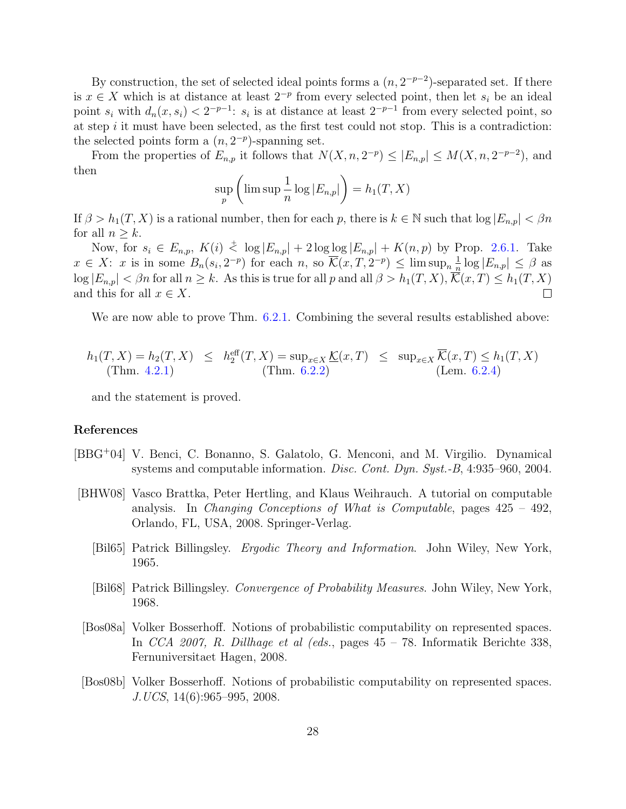By construction, the set of selected ideal points forms a  $(n, 2^{-p-2})$ -separated set. If there is  $x \in X$  which is at distance at least  $2^{-p}$  from every selected point, then let  $s_i$  be an ideal point  $s_i$  with  $d_n(x, s_i) < 2^{-p-1}$ :  $s_i$  is at distance at least  $2^{-p-1}$  from every selected point, so at step  $i$  it must have been selected, as the first test could not stop. This is a contradiction: the selected points form a  $(n, 2^{-p})$ -spanning set.

From the properties of  $E_{n,p}$  it follows that  $N(X, n, 2^{-p}) \leq |E_{n,p}| \leq M(X, n, 2^{-p-2})$ , and then

$$
\sup_{p} \left( \limsup \frac{1}{n} \log |E_{n,p}| \right) = h_1(T, X)
$$

If  $\beta > h_1(T, X)$  is a rational number, then for each p, there is  $k \in \mathbb{N}$  such that  $\log |E_{n,p}| < \beta n$ for all  $n > k$ .

Now, for  $s_i \in E_{n,p}$ ,  $K(i) \stackrel{+}{\leq} \log |E_{n,p}| + 2 \log \log |E_{n,p}| + K(n,p)$  by Prop. [2.6.1.](#page-10-3) Take  $x \in X$ : x is in some  $B_n(s_i, 2^{-p})$  for each n, so  $\overline{\mathcal{K}}(x, T, 2^{-p}) \le \limsup_n \frac{1}{n}$  $\frac{1}{n} \log |E_{n,p}| \leq \beta$  as  $\log |E_{n,p}| < \beta n$  for all  $n \geq k$ . As this is true for all p and all  $\beta > h_1(T, X), \overline{K}(x,T) \leq h_1(T, X)$ and this for all  $x \in X$ .  $\Box$ 

We are now able to prove Thm.  $6.2.1$ . Combining the several results established above:

$$
h_1(T, X) = h_2(T, X) \leq h_2^{\text{eff}}(T, X) = \sup_{x \in X} \underline{\mathcal{K}}(x, T) \leq \sup_{x \in X} \overline{\mathcal{K}}(x, T) \leq h_1(T, X)
$$
  
(Thm. 4.2.1) (Thm. 6.2.2) (Lem. 6.2.4)

and the statement is proved.

#### References

- <span id="page-28-5"></span>[BBG<sup>+</sup>04] V. Benci, C. Bonanno, S. Galatolo, G. Menconi, and M. Virgilio. Dynamical systems and computable information. Disc. Cont. Dyn. Syst.-B, 4:935–960, 2004.
- <span id="page-28-4"></span><span id="page-28-0"></span>[BHW08] Vasco Brattka, Peter Hertling, and Klaus Weihrauch. A tutorial on computable analysis. In Changing Conceptions of What is Computable, pages  $425 - 492$ , Orlando, FL, USA, 2008. Springer-Verlag.
	- [Bil65] Patrick Billingsley. Ergodic Theory and Information. John Wiley, New York, 1965.
	- [Bil68] Patrick Billingsley. Convergence of Probability Measures. John Wiley, New York, 1968.
- <span id="page-28-2"></span><span id="page-28-1"></span>[Bos08a] Volker Bosserhoff. Notions of probabilistic computability on represented spaces. In CCA 2007, R. Dillhage et al (eds., pages 45 – 78. Informatik Berichte 338, Fernuniversitaet Hagen, 2008.
- <span id="page-28-3"></span>[Bos08b] Volker Bosserhoff. Notions of probabilistic computability on represented spaces. J.UCS, 14(6):965–995, 2008.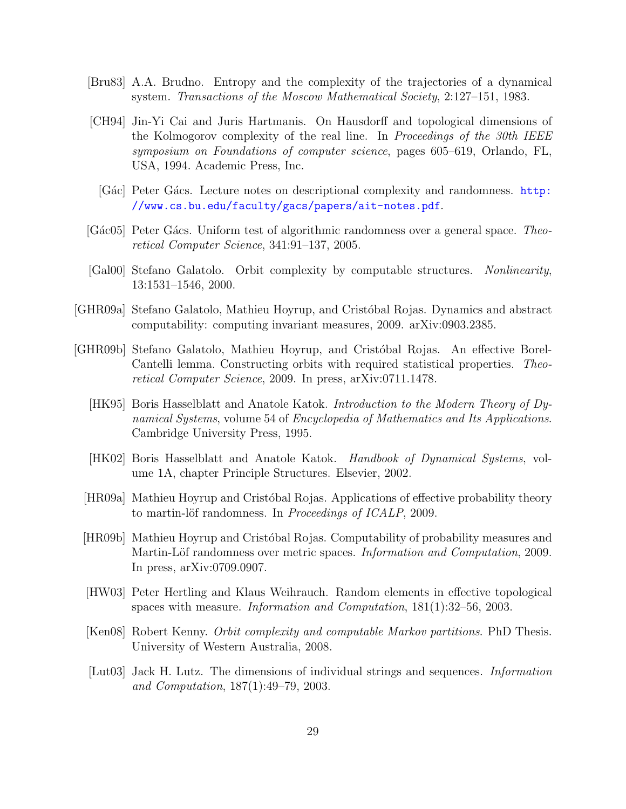- <span id="page-29-3"></span>[Bru83] A.A. Brudno. Entropy and the complexity of the trajectories of a dynamical system. Transactions of the Moscow Mathematical Society, 2:127–151, 1983.
- <span id="page-29-12"></span>[CH94] Jin-Yi Cai and Juris Hartmanis. On Hausdorff and topological dimensions of the Kolmogorov complexity of the real line. In Proceedings of the 30th IEEE symposium on Foundations of computer science, pages 605–619, Orlando, FL, USA, 1994. Academic Press, Inc.
	- [Gác] Peter Gács. Lecture notes on descriptional complexity and randomness. [http:](http://www.cs.bu.edu/faculty/gacs/papers/ait-notes.pdf) [//www.cs.bu.edu/faculty/gacs/papers/ait-notes.pdf](http://www.cs.bu.edu/faculty/gacs/papers/ait-notes.pdf).
- <span id="page-29-7"></span><span id="page-29-1"></span>[Gác05] Peter Gács. Uniform test of algorithmic randomness over a general space. Theoretical Computer Science, 341:91–137, 2005.
- <span id="page-29-4"></span>[Gal00] Stefano Galatolo. Orbit complexity by computable structures. Nonlinearity, 13:1531–1546, 2000.
- <span id="page-29-5"></span>[GHR09a] Stefano Galatolo, Mathieu Hoyrup, and Crist´obal Rojas. Dynamics and abstract computability: computing invariant measures, 2009. arXiv:0903.2385.
- <span id="page-29-13"></span><span id="page-29-11"></span><span id="page-29-10"></span><span id="page-29-9"></span><span id="page-29-8"></span><span id="page-29-6"></span><span id="page-29-2"></span><span id="page-29-0"></span>[GHR09b] Stefano Galatolo, Mathieu Hoyrup, and Crist´obal Rojas. An effective Borel-Cantelli lemma. Constructing orbits with required statistical properties. Theoretical Computer Science, 2009. In press, arXiv:0711.1478.
	- [HK95] Boris Hasselblatt and Anatole Katok. Introduction to the Modern Theory of Dynamical Systems, volume 54 of Encyclopedia of Mathematics and Its Applications. Cambridge University Press, 1995.
	- [HK02] Boris Hasselblatt and Anatole Katok. Handbook of Dynamical Systems, volume 1A, chapter Principle Structures. Elsevier, 2002.
	- [HR09a] Mathieu Hoyrup and Crist´obal Rojas. Applications of effective probability theory to martin-löf randomness. In *Proceedings of ICALP*, 2009.
	- [HR09b] Mathieu Hoyrup and Crist´obal Rojas. Computability of probability measures and Martin-Löf randomness over metric spaces. *Information and Computation*, 2009. In press, arXiv:0709.0907.
	- [HW03] Peter Hertling and Klaus Weihrauch. Random elements in effective topological spaces with measure. Information and Computation, 181(1):32–56, 2003.
	- [Ken08] Robert Kenny. Orbit complexity and computable Markov partitions. PhD Thesis. University of Western Australia, 2008.
	- [Lut03] Jack H. Lutz. The dimensions of individual strings and sequences. Information and Computation, 187(1):49–79, 2003.